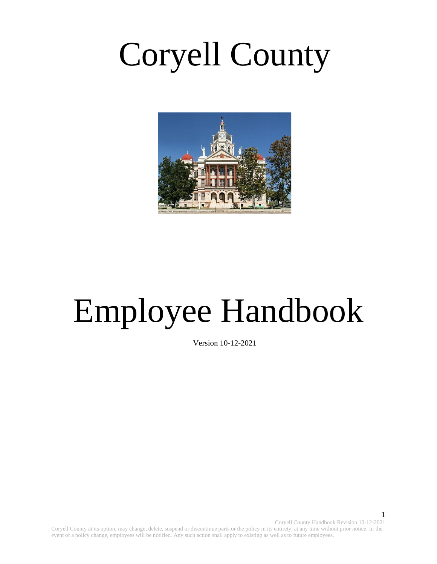# Coryell County



# Employee Handbook

Version 10-12-2021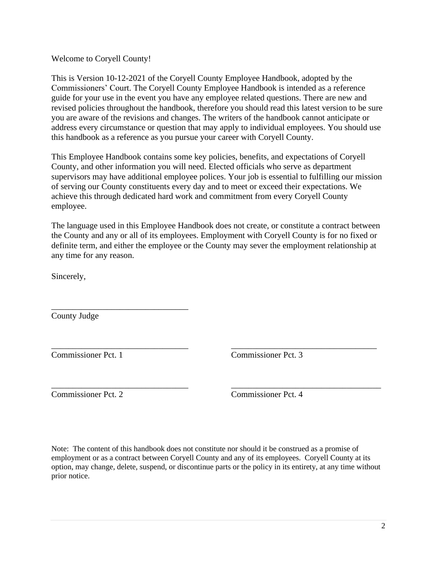Welcome to Coryell County!

This is Version 10-12-2021 of the Coryell County Employee Handbook, adopted by the Commissioners' Court. The Coryell County Employee Handbook is intended as a reference guide for your use in the event you have any employee related questions. There are new and revised policies throughout the handbook, therefore you should read this latest version to be sure you are aware of the revisions and changes. The writers of the handbook cannot anticipate or address every circumstance or question that may apply to individual employees. You should use this handbook as a reference as you pursue your career with Coryell County.

This Employee Handbook contains some key policies, benefits, and expectations of Coryell County, and other information you will need. Elected officials who serve as department supervisors may have additional employee polices. Your job is essential to fulfilling our mission of serving our County constituents every day and to meet or exceed their expectations. We achieve this through dedicated hard work and commitment from every Coryell County employee.

The language used in this Employee Handbook does not create, or constitute a contract between the County and any or all of its employees. Employment with Coryell County is for no fixed or definite term, and either the employee or the County may sever the employment relationship at any time for any reason.

\_\_\_\_\_\_\_\_\_\_\_\_\_\_\_\_\_\_\_\_\_\_\_\_\_\_\_\_\_\_\_\_ \_\_\_\_\_\_\_\_\_\_\_\_\_\_\_\_\_\_\_\_\_\_\_\_\_\_\_\_\_\_\_\_\_\_

\_\_\_\_\_\_\_\_\_\_\_\_\_\_\_\_\_\_\_\_\_\_\_\_\_\_\_\_\_\_\_\_ \_\_\_\_\_\_\_\_\_\_\_\_\_\_\_\_\_\_\_\_\_\_\_\_\_\_\_\_\_\_\_\_\_\_\_

Sincerely,

County Judge

\_\_\_\_\_\_\_\_\_\_\_\_\_\_\_\_\_\_\_\_\_\_\_\_\_\_\_\_\_\_\_\_

Commissioner Pct. 1 Commissioner Pct. 3

Commissioner Pct. 2 Commissioner Pct. 4

Note: The content of this handbook does not constitute nor should it be construed as a promise of employment or as a contract between Coryell County and any of its employees. Coryell County at its option, may change, delete, suspend, or discontinue parts or the policy in its entirety, at any time without prior notice.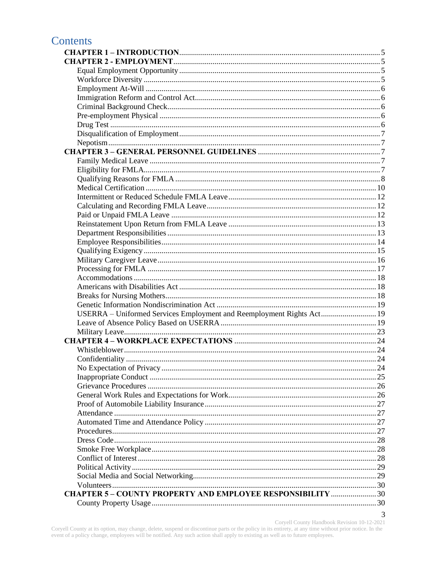# **Contents**

| USERRA - Uniformed Services Employment and Reemployment Rights Act 19 |   |
|-----------------------------------------------------------------------|---|
|                                                                       |   |
|                                                                       |   |
|                                                                       |   |
|                                                                       |   |
|                                                                       |   |
|                                                                       |   |
|                                                                       |   |
|                                                                       |   |
|                                                                       |   |
|                                                                       |   |
|                                                                       |   |
|                                                                       |   |
|                                                                       |   |
|                                                                       |   |
|                                                                       |   |
|                                                                       |   |
|                                                                       |   |
|                                                                       |   |
|                                                                       |   |
| <b>CHAPTER 5-COUNTY PROPERTY AND EMPLOYEE RESPONSIBILITY  30</b>      |   |
|                                                                       |   |
|                                                                       | 3 |

Coryell County Handbook Revision 10-12-2021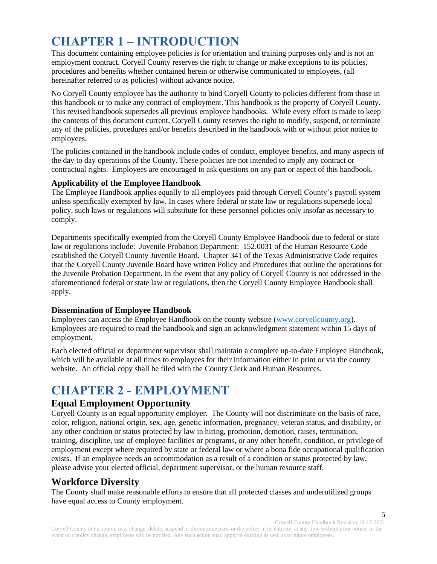# <span id="page-4-0"></span>**CHAPTER 1 – INTRODUCTION**

This document containing employee policies is for orientation and training purposes only and is not an employment contract. Coryell County reserves the right to change or make exceptions to its policies, procedures and benefits whether contained herein or otherwise communicated to employees, (all hereinafter referred to as policies) without advance notice.

No Coryell County employee has the authority to bind Coryell County to policies different from those in this handbook or to make any contract of employment. This handbook is the property of Coryell County. This revised handbook supersedes all previous employee handbooks. While every effort is made to keep the contents of this document current, Coryell County reserves the right to modify, suspend, or terminate any of the policies, procedures and/or benefits described in the handbook with or without prior notice to employees.

The policies contained in the handbook include codes of conduct, employee benefits, and many aspects of the day to day operations of the County. These policies are not intended to imply any contract or contractual rights. Employees are encouraged to ask questions on any part or aspect of this handbook.

#### **Applicability of the Employee Handbook**

The Employee Handbook applies equally to all employees paid through Coryell County's payroll system unless specifically exempted by law. In cases where federal or state law or regulations supersede local policy, such laws or regulations will substitute for these personnel policies only insofar as necessary to comply.

Departments specifically exempted from the Coryell County Employee Handbook due to federal or state law or regulations include: Juvenile Probation Department: 152.0031 of the Human Resource Code established the Coryell County Juvenile Board. Chapter 341 of the Texas Administrative Code requires that the Coryell County Juvenile Board have written Policy and Procedures that outline the operations for the Juvenile Probation Department. In the event that any policy of Coryell County is not addressed in the aforementioned federal or state law or regulations, then the Coryell County Employee Handbook shall apply.

#### **Dissemination of Employee Handbook**

Employees can access the Employee Handbook on the county website [\(www.coryellcounty.org\)](http://www.coryellcounty.org/). Employees are required to read the handbook and sign an acknowledgment statement within 15 days of employment.

Each elected official or department supervisor shall maintain a complete up-to-date Employee Handbook, which will be available at all times to employees for their information either in print or via the county website. An official copy shall be filed with the County Clerk and Human Resources.

# <span id="page-4-1"></span>**CHAPTER 2 - EMPLOYMENT**

#### <span id="page-4-2"></span>**Equal Employment Opportunity**

Coryell County is an equal opportunity employer. The County will not discriminate on the basis of race, color, religion, national origin, sex, age, genetic information, pregnancy, veteran status, and disability, or any other condition or status protected by law in hiring, promotion, demotion, raises, termination, training, discipline, use of employee facilities or programs, or any other benefit, condition, or privilege of employment except where required by state or federal law or where a bona fide occupational qualification exists. If an employee needs an accommodation as a result of a condition or status protected by law, please advise your elected official, department supervisor, or the human resource staff.

# <span id="page-4-3"></span>**Workforce Diversity**

The County shall make reasonable efforts to ensure that all protected classes and underutilized groups have equal access to County employment.

Coryell County Handbook Revision 10-12-2021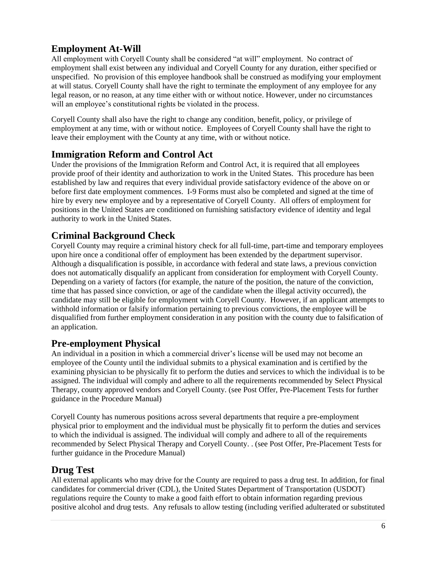# <span id="page-5-0"></span>**Employment At-Will**

All employment with Coryell County shall be considered "at will" employment. No contract of employment shall exist between any individual and Coryell County for any duration, either specified or unspecified. No provision of this employee handbook shall be construed as modifying your employment at will status. Coryell County shall have the right to terminate the employment of any employee for any legal reason, or no reason, at any time either with or without notice. However, under no circumstances will an employee's constitutional rights be violated in the process.

Coryell County shall also have the right to change any condition, benefit, policy, or privilege of employment at any time, with or without notice. Employees of Coryell County shall have the right to leave their employment with the County at any time, with or without notice.

# <span id="page-5-1"></span>**Immigration Reform and Control Act**

Under the provisions of the Immigration Reform and Control Act, it is required that all employees provide proof of their identity and authorization to work in the United States. This procedure has been established by law and requires that every individual provide satisfactory evidence of the above on or before first date employment commences. I-9 Forms must also be completed and signed at the time of hire by every new employee and by a representative of Coryell County. All offers of employment for positions in the United States are conditioned on furnishing satisfactory evidence of identity and legal authority to work in the United States.

# <span id="page-5-2"></span>**Criminal Background Check**

Coryell County may require a criminal history check for all full-time, part-time and temporary employees upon hire once a conditional offer of employment has been extended by the department supervisor. Although a disqualification is possible, in accordance with federal and state laws, a previous conviction does not automatically disqualify an applicant from consideration for employment with Coryell County. Depending on a variety of factors (for example, the nature of the position, the nature of the conviction, time that has passed since conviction, or age of the candidate when the illegal activity occurred), the candidate may still be eligible for employment with Coryell County. However, if an applicant attempts to withhold information or falsify information pertaining to previous convictions, the employee will be disqualified from further employment consideration in any position with the county due to falsification of an application.

# <span id="page-5-3"></span>**Pre-employment Physical**

An individual in a position in which a commercial driver's license will be used may not become an employee of the County until the individual submits to a physical examination and is certified by the examining physician to be physically fit to perform the duties and services to which the individual is to be assigned. The individual will comply and adhere to all the requirements recommended by Select Physical Therapy, county approved vendors and Coryell County. (see Post Offer, Pre-Placement Tests for further guidance in the Procedure Manual)

Coryell County has numerous positions across several departments that require a pre-employment physical prior to employment and the individual must be physically fit to perform the duties and services to which the individual is assigned. The individual will comply and adhere to all of the requirements recommended by Select Physical Therapy and Coryell County. . (see Post Offer, Pre-Placement Tests for further guidance in the Procedure Manual)

#### <span id="page-5-4"></span>**Drug Test**

All external applicants who may drive for the County are required to pass a drug test. In addition, for final candidates for commercial driver (CDL), the United States Department of Transportation (USDOT) regulations require the County to make a good faith effort to obtain information regarding previous positive alcohol and drug tests. Any refusals to allow testing (including verified adulterated or substituted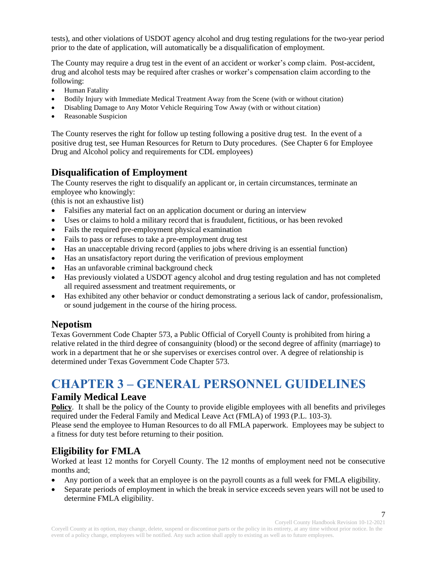tests), and other violations of USDOT agency alcohol and drug testing regulations for the two-year period prior to the date of application, will automatically be a disqualification of employment.

The County may require a drug test in the event of an accident or worker's comp claim. Post-accident, drug and alcohol tests may be required after crashes or worker's compensation claim according to the following:

- Human Fatality
- Bodily Injury with Immediate Medical Treatment Away from the Scene (with or without citation)
- Disabling Damage to Any Motor Vehicle Requiring Tow Away (with or without citation)
- Reasonable Suspicion

The County reserves the right for follow up testing following a positive drug test. In the event of a positive drug test, see Human Resources for Return to Duty procedures. (See Chapter 6 for Employee Drug and Alcohol policy and requirements for CDL employees)

# <span id="page-6-0"></span>**Disqualification of Employment**

The County reserves the right to disqualify an applicant or, in certain circumstances, terminate an employee who knowingly:

(this is not an exhaustive list)

- Falsifies any material fact on an application document or during an interview
- Uses or claims to hold a military record that is fraudulent, fictitious, or has been revoked
- Fails the required pre-employment physical examination
- Fails to pass or refuses to take a pre-employment drug test
- Has an unacceptable driving record (applies to jobs where driving is an essential function)
- Has an unsatisfactory report during the verification of previous employment
- Has an unfavorable criminal background check
- Has previously violated a USDOT agency alcohol and drug testing regulation and has not completed all required assessment and treatment requirements, or
- Has exhibited any other behavior or conduct demonstrating a serious lack of candor, professionalism, or sound judgement in the course of the hiring process.

#### <span id="page-6-1"></span>**Nepotism**

Texas Government Code Chapter 573, a Public Official of Coryell County is prohibited from hiring a relative related in the third degree of consanguinity (blood) or the second degree of affinity (marriage) to work in a department that he or she supervises or exercises control over. A degree of relationship is determined under Texas Government Code Chapter 573.

# <span id="page-6-2"></span>**CHAPTER 3 – GENERAL PERSONNEL GUIDELINES**

#### <span id="page-6-3"></span>**Family Medical Leave**

**Policy**. It shall be the policy of the County to provide eligible employees with all benefits and privileges required under the Federal Family and Medical Leave Act (FMLA) of 1993 (P.L. 103-3).

Please send the employee to Human Resources to do all FMLA paperwork. Employees may be subject to a fitness for duty test before returning to their position.

# <span id="page-6-4"></span>**Eligibility for FMLA**

Worked at least 12 months for Coryell County. The 12 months of employment need not be consecutive months and;

- Any portion of a week that an employee is on the payroll counts as a full week for FMLA eligibility.
- Separate periods of employment in which the break in service exceeds seven years will not be used to determine FMLA eligibility.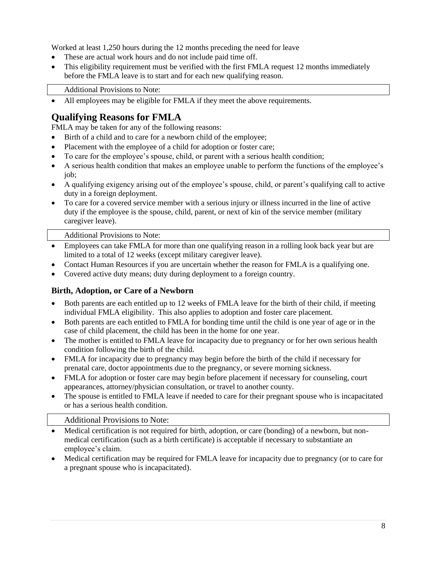Worked at least 1,250 hours during the 12 months preceding the need for leave

- These are actual work hours and do not include paid time off.
- This eligibility requirement must be verified with the first FMLA request 12 months immediately before the FMLA leave is to start and for each new qualifying reason.

Additional Provisions to Note:

• All employees may be eligible for FMLA if they meet the above requirements.

# <span id="page-7-0"></span>**Qualifying Reasons for FMLA**

FMLA may be taken for any of the following reasons:

- Birth of a child and to care for a newborn child of the employee;
- Placement with the employee of a child for adoption or foster care;
- To care for the employee's spouse, child, or parent with a serious health condition;
- A serious health condition that makes an employee unable to perform the functions of the employee's job;
- A qualifying exigency arising out of the employee's spouse, child, or parent's qualifying call to active duty in a foreign deployment.
- To care for a covered service member with a serious injury or illness incurred in the line of active duty if the employee is the spouse, child, parent, or next of kin of the service member (military caregiver leave).

Additional Provisions to Note:

- Employees can take FMLA for more than one qualifying reason in a rolling look back year but are limited to a total of 12 weeks (except military caregiver leave).
- Contact Human Resources if you are uncertain whether the reason for FMLA is a qualifying one.
- Covered active duty means; duty during deployment to a foreign country.

#### **Birth, Adoption, or Care of a Newborn**

- Both parents are each entitled up to 12 weeks of FMLA leave for the birth of their child, if meeting individual FMLA eligibility. This also applies to adoption and foster care placement.
- Both parents are each entitled to FMLA for bonding time until the child is one year of age or in the case of child placement, the child has been in the home for one year.
- The mother is entitled to FMLA leave for incapacity due to pregnancy or for her own serious health condition following the birth of the child.
- FMLA for incapacity due to pregnancy may begin before the birth of the child if necessary for prenatal care, doctor appointments due to the pregnancy, or severe morning sickness.
- FMLA for adoption or foster care may begin before placement if necessary for counseling, court appearances, attorney/physician consultation, or travel to another county.
- The spouse is entitled to FMLA leave if needed to care for their pregnant spouse who is incapacitated or has a serious health condition.

#### Additional Provisions to Note:

- Medical certification is not required for birth, adoption, or care (bonding) of a newborn, but nonmedical certification (such as a birth certificate) is acceptable if necessary to substantiate an employee's claim.
- Medical certification may be required for FMLA leave for incapacity due to pregnancy (or to care for a pregnant spouse who is incapacitated).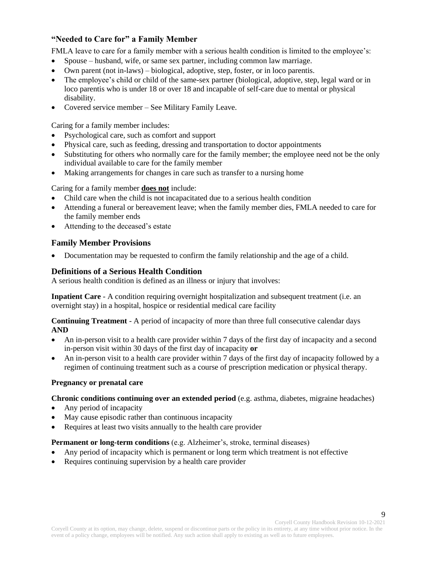#### **"Needed to Care for" a Family Member**

FMLA leave to care for a family member with a serious health condition is limited to the employee's:

- Spouse husband, wife, or same sex partner, including common law marriage.
- Own parent (not in-laws) biological, adoptive, step, foster, or in loco parentis.
- The employee's child or child of the same-sex partner (biological, adoptive, step, legal ward or in loco parentis who is under 18 or over 18 and incapable of self-care due to mental or physical disability.
- Covered service member See Military Family Leave.

Caring for a family member includes:

- Psychological care, such as comfort and support
- Physical care, such as feeding, dressing and transportation to doctor appointments
- Substituting for others who normally care for the family member; the employee need not be the only individual available to care for the family member
- Making arrangements for changes in care such as transfer to a nursing home

Caring for a family member **does not** include:

- Child care when the child is not incapacitated due to a serious health condition
- Attending a funeral or bereavement leave; when the family member dies, FMLA needed to care for the family member ends
- Attending to the deceased's estate

#### **Family Member Provisions**

• Documentation may be requested to confirm the family relationship and the age of a child.

#### **Definitions of a Serious Health Condition**

A serious health condition is defined as an illness or injury that involves:

**Inpatient Care** - A condition requiring overnight hospitalization and subsequent treatment (i.e. an overnight stay) in a hospital, hospice or residential medical care facility

**Continuing Treatment** - A period of incapacity of more than three full consecutive calendar days **AND**

- An in-person visit to a health care provider within 7 days of the first day of incapacity and a second in-person visit within 30 days of the first day of incapacity **or**
- An in-person visit to a health care provider within 7 days of the first day of incapacity followed by a regimen of continuing treatment such as a course of prescription medication or physical therapy.

#### **Pregnancy or prenatal care**

**Chronic conditions continuing over an extended period** (e.g. asthma, diabetes, migraine headaches)

- Any period of incapacity
- May cause episodic rather than continuous incapacity
- Requires at least two visits annually to the health care provider

#### **Permanent or long-term conditions** (e.g. Alzheimer's, stroke, terminal diseases)

- Any period of incapacity which is permanent or long term which treatment is not effective
- Requires continuing supervision by a health care provider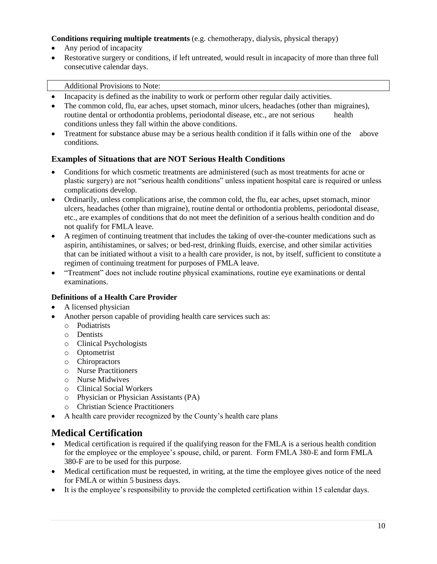#### **Conditions requiring multiple treatments** (e.g. chemotherapy, dialysis, physical therapy)

- Any period of incapacity
- Restorative surgery or conditions, if left untreated, would result in incapacity of more than three full consecutive calendar days.

#### Additional Provisions to Note:

- Incapacity is defined as the inability to work or perform other regular daily activities.
- The common cold, flu, ear aches, upset stomach, minor ulcers, headaches (other than migraines), routine dental or orthodontia problems, periodontal disease, etc., are not serious health conditions unless they fall within the above conditions.
- Treatment for substance abuse may be a serious health condition if it falls within one of the above conditions.

#### **Examples of Situations that are NOT Serious Health Conditions**

- Conditions for which cosmetic treatments are administered (such as most treatments for acne or plastic surgery) are not "serious health conditions" unless inpatient hospital care is required or unless complications develop.
- Ordinarily, unless complications arise, the common cold, the flu, ear aches, upset stomach, minor ulcers, headaches (other than migraine), routine dental or orthodontia problems, periodontal disease, etc., are examples of conditions that do not meet the definition of a serious health condition and do not qualify for FMLA leave.
- A regimen of continuing treatment that includes the taking of over-the-counter medications such as aspirin, antihistamines, or salves; or bed-rest, drinking fluids, exercise, and other similar activities that can be initiated without a visit to a health care provider, is not, by itself, sufficient to constitute a regimen of continuing treatment for purposes of FMLA leave.
- "Treatment" does not include routine physical examinations, routine eye examinations or dental examinations.

#### **Definitions of a Health Care Provider**

- A licensed physician
- Another person capable of providing health care services such as:
	- o Podiatrists
	- o Dentists
	- o Clinical Psychologists
	- o Optometrist
	- o Chiropractors
	- o Nurse Practitioners
	- o Nurse Midwives
	- o Clinical Social Workers
	- o Physician or Physician Assistants (PA)
	- o Christian Science Practitioners
- A health care provider recognized by the County's health care plans

#### <span id="page-9-0"></span>**Medical Certification**

- Medical certification is required if the qualifying reason for the FMLA is a serious health condition for the employee or the employee's spouse, child, or parent. Form FMLA 380-E and form FMLA 380-F are to be used for this purpose.
- Medical certification must be requested, in writing, at the time the employee gives notice of the need for FMLA or within 5 business days.
- It is the employee's responsibility to provide the completed certification within 15 calendar days.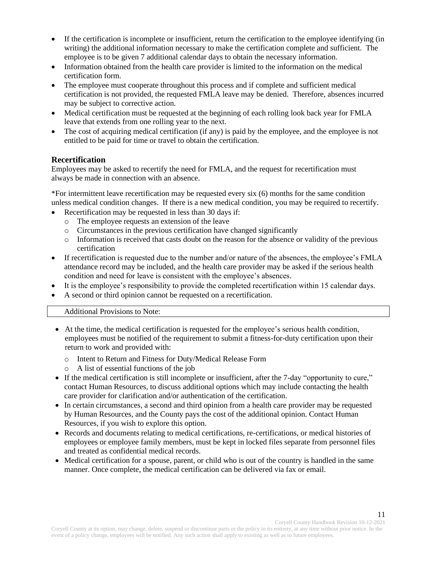- If the certification is incomplete or insufficient, return the certification to the employee identifying (in writing) the additional information necessary to make the certification complete and sufficient. The employee is to be given 7 additional calendar days to obtain the necessary information.
- Information obtained from the health care provider is limited to the information on the medical certification form.
- The employee must cooperate throughout this process and if complete and sufficient medical certification is not provided, the requested FMLA leave may be denied. Therefore, absences incurred may be subject to corrective action.
- Medical certification must be requested at the beginning of each rolling look back year for FMLA leave that extends from one rolling year to the next.
- The cost of acquiring medical certification (if any) is paid by the employee, and the employee is not entitled to be paid for time or travel to obtain the certification.

#### **Recertification**

Employees may be asked to recertify the need for FMLA, and the request for recertification must always be made in connection with an absence.

\*For intermittent leave recertification may be requested every six (6) months for the same condition unless medical condition changes. If there is a new medical condition, you may be required to recertify.

- Recertification may be requested in less than 30 days if:
	- o The employee requests an extension of the leave
	- o Circumstances in the previous certification have changed significantly
	- o Information is received that casts doubt on the reason for the absence or validity of the previous certification
- If recertification is requested due to the number and/or nature of the absences, the employee's FMLA attendance record may be included, and the health care provider may be asked if the serious health condition and need for leave is consistent with the employee's absences.
- It is the employee's responsibility to provide the completed recertification within 15 calendar days.
- A second or third opinion cannot be requested on a recertification.

Additional Provisions to Note:

- At the time, the medical certification is requested for the employee's serious health condition, employees must be notified of the requirement to submit a fitness-for-duty certification upon their return to work and provided with:
	- o Intent to Return and Fitness for Duty/Medical Release Form
	- A list of essential functions of the job
- If the medical certification is still incomplete or insufficient, after the 7-day "opportunity to cure," contact Human Resources, to discuss additional options which may include contacting the health care provider for clarification and/or authentication of the certification.
- In certain circumstances, a second and third opinion from a health care provider may be requested by Human Resources, and the County pays the cost of the additional opinion. Contact Human Resources, if you wish to explore this option.
- Records and documents relating to medical certifications, re-certifications, or medical histories of employees or employee family members, must be kept in locked files separate from personnel files and treated as confidential medical records.
- Medical certification for a spouse, parent, or child who is out of the country is handled in the same manner. Once complete, the medical certification can be delivered via fax or email.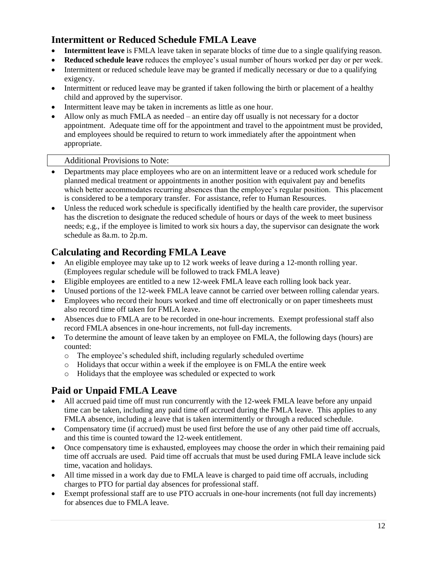# <span id="page-11-0"></span>**Intermittent or Reduced Schedule FMLA Leave**

- **Intermittent leave** is FMLA leave taken in separate blocks of time due to a single qualifying reason.
- **Reduced schedule leave** reduces the employee's usual number of hours worked per day or per week.
- Intermittent or reduced schedule leave may be granted if medically necessary or due to a qualifying exigency.
- Intermittent or reduced leave may be granted if taken following the birth or placement of a healthy child and approved by the supervisor.
- Intermittent leave may be taken in increments as little as one hour.
- Allow only as much FMLA as needed an entire day off usually is not necessary for a doctor appointment. Adequate time off for the appointment and travel to the appointment must be provided, and employees should be required to return to work immediately after the appointment when appropriate.

#### Additional Provisions to Note:

- Departments may place employees who are on an intermittent leave or a reduced work schedule for planned medical treatment or appointments in another position with equivalent pay and benefits which better accommodates recurring absences than the employee's regular position. This placement is considered to be a temporary transfer. For assistance, refer to Human Resources.
- Unless the reduced work schedule is specifically identified by the health care provider, the supervisor has the discretion to designate the reduced schedule of hours or days of the week to meet business needs; e.g., if the employee is limited to work six hours a day, the supervisor can designate the work schedule as 8a.m. to 2p.m.

# <span id="page-11-1"></span>**Calculating and Recording FMLA Leave**

- An eligible employee may take up to 12 work weeks of leave during a 12-month rolling year. (Employees regular schedule will be followed to track FMLA leave)
- Eligible employees are entitled to a new 12-week FMLA leave each rolling look back year.
- Unused portions of the 12-week FMLA leave cannot be carried over between rolling calendar years.
- Employees who record their hours worked and time off electronically or on paper timesheets must also record time off taken for FMLA leave.
- Absences due to FMLA are to be recorded in one-hour increments. Exempt professional staff also record FMLA absences in one-hour increments, not full-day increments.
- To determine the amount of leave taken by an employee on FMLA, the following days (hours) are counted:
	- o The employee's scheduled shift, including regularly scheduled overtime
	- o Holidays that occur within a week if the employee is on FMLA the entire week
	- o Holidays that the employee was scheduled or expected to work

# <span id="page-11-2"></span>**Paid or Unpaid FMLA Leave**

- All accrued paid time off must run concurrently with the 12-week FMLA leave before any unpaid time can be taken, including any paid time off accrued during the FMLA leave. This applies to any FMLA absence, including a leave that is taken intermittently or through a reduced schedule.
- Compensatory time (if accrued) must be used first before the use of any other paid time off accruals, and this time is counted toward the 12-week entitlement.
- Once compensatory time is exhausted, employees may choose the order in which their remaining paid time off accruals are used. Paid time off accruals that must be used during FMLA leave include sick time, vacation and holidays.
- All time missed in a work day due to FMLA leave is charged to paid time off accruals, including charges to PTO for partial day absences for professional staff.
- Exempt professional staff are to use PTO accruals in one-hour increments (not full day increments) for absences due to FMLA leave.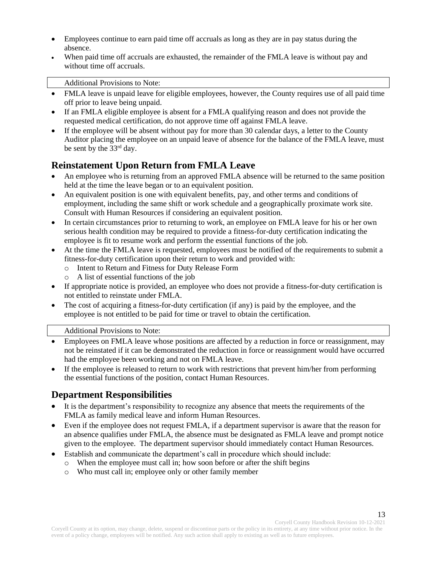- Employees continue to earn paid time off accruals as long as they are in pay status during the absence.
- When paid time off accruals are exhausted, the remainder of the FMLA leave is without pay and without time off accruals.

Additional Provisions to Note:

- FMLA leave is unpaid leave for eligible employees, however, the County requires use of all paid time off prior to leave being unpaid.
- If an FMLA eligible employee is absent for a FMLA qualifying reason and does not provide the requested medical certification, do not approve time off against FMLA leave.
- If the employee will be absent without pay for more than 30 calendar days, a letter to the County Auditor placing the employee on an unpaid leave of absence for the balance of the FMLA leave, must be sent by the 33rd day.

### <span id="page-12-0"></span>**Reinstatement Upon Return from FMLA Leave**

- An employee who is returning from an approved FMLA absence will be returned to the same position held at the time the leave began or to an equivalent position.
- An equivalent position is one with equivalent benefits, pay, and other terms and conditions of employment, including the same shift or work schedule and a geographically proximate work site. Consult with Human Resources if considering an equivalent position.
- In certain circumstances prior to returning to work, an employee on FMLA leave for his or her own serious health condition may be required to provide a fitness-for-duty certification indicating the employee is fit to resume work and perform the essential functions of the job.
- At the time the FMLA leave is requested, employees must be notified of the requirements to submit a fitness-for-duty certification upon their return to work and provided with:
	- o Intent to Return and Fitness for Duty Release Form
	- o A list of essential functions of the job
- If appropriate notice is provided, an employee who does not provide a fitness-for-duty certification is not entitled to reinstate under FMLA.
- The cost of acquiring a fitness-for-duty certification (if any) is paid by the employee, and the employee is not entitled to be paid for time or travel to obtain the certification.

Additional Provisions to Note:

- Employees on FMLA leave whose positions are affected by a reduction in force or reassignment, may not be reinstated if it can be demonstrated the reduction in force or reassignment would have occurred had the employee been working and not on FMLA leave.
- If the employee is released to return to work with restrictions that prevent him/her from performing the essential functions of the position, contact Human Resources.

# <span id="page-12-1"></span>**Department Responsibilities**

- It is the department's responsibility to recognize any absence that meets the requirements of the FMLA as family medical leave and inform Human Resources.
- Even if the employee does not request FMLA, if a department supervisor is aware that the reason for an absence qualifies under FMLA, the absence must be designated as FMLA leave and prompt notice given to the employee. The department supervisor should immediately contact Human Resources.
- Establish and communicate the department's call in procedure which should include:
	- o When the employee must call in; how soon before or after the shift begins
	- o Who must call in; employee only or other family member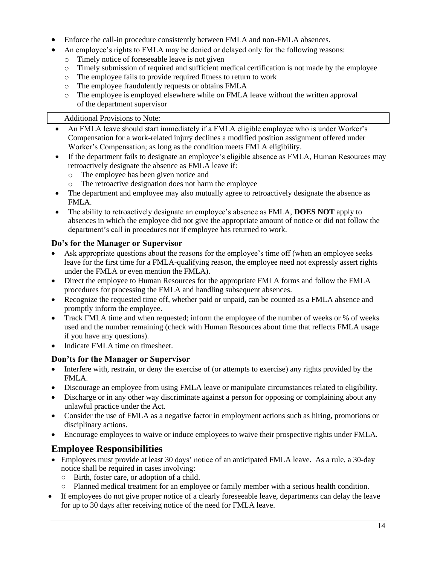- Enforce the call-in procedure consistently between FMLA and non-FMLA absences.
- An employee's rights to FMLA may be denied or delayed only for the following reasons:
	- o Timely notice of foreseeable leave is not given
	- o Timely submission of required and sufficient medical certification is not made by the employee
	- o The employee fails to provide required fitness to return to work
	- o The employee fraudulently requests or obtains FMLA
	- o The employee is employed elsewhere while on FMLA leave without the written approval of the department supervisor

#### Additional Provisions to Note:

- An FMLA leave should start immediately if a FMLA eligible employee who is under Worker's Compensation for a work-related injury declines a modified position assignment offered under Worker's Compensation; as long as the condition meets FMLA eligibility.
- If the department fails to designate an employee's eligible absence as FMLA, Human Resources may retroactively designate the absence as FMLA leave if:
	- o The employee has been given notice and
	- o The retroactive designation does not harm the employee
- The department and employee may also mutually agree to retroactively designate the absence as FMLA.
- The ability to retroactively designate an employee's absence as FMLA, **DOES NOT** apply to absences in which the employee did not give the appropriate amount of notice or did not follow the department's call in procedures nor if employee has returned to work.

#### **Do's for the Manager or Supervisor**

- Ask appropriate questions about the reasons for the employee's time off (when an employee seeks leave for the first time for a FMLA-qualifying reason, the employee need not expressly assert rights under the FMLA or even mention the FMLA).
- Direct the employee to Human Resources for the appropriate FMLA forms and follow the FMLA procedures for processing the FMLA and handling subsequent absences.
- Recognize the requested time off, whether paid or unpaid, can be counted as a FMLA absence and promptly inform the employee.
- Track FMLA time and when requested; inform the employee of the number of weeks or % of weeks used and the number remaining (check with Human Resources about time that reflects FMLA usage if you have any questions).
- Indicate FMLA time on timesheet.

#### **Don'ts for the Manager or Supervisor**

- Interfere with, restrain, or deny the exercise of (or attempts to exercise) any rights provided by the FMLA.
- Discourage an employee from using FMLA leave or manipulate circumstances related to eligibility.
- Discharge or in any other way discriminate against a person for opposing or complaining about any unlawful practice under the Act.
- Consider the use of FMLA as a negative factor in employment actions such as hiring, promotions or disciplinary actions.
- Encourage employees to waive or induce employees to waive their prospective rights under FMLA.

# <span id="page-13-0"></span>**Employee Responsibilities**

- Employees must provide at least 30 days' notice of an anticipated FMLA leave. As a rule, a 30-day notice shall be required in cases involving:
	- Birth, foster care, or adoption of a child.
	- Planned medical treatment for an employee or family member with a serious health condition.
- If employees do not give proper notice of a clearly foreseeable leave, departments can delay the leave for up to 30 days after receiving notice of the need for FMLA leave.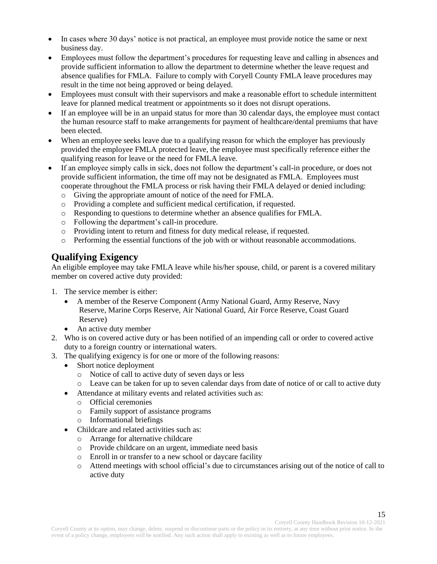- In cases where 30 days' notice is not practical, an employee must provide notice the same or next business day.
- Employees must follow the department's procedures for requesting leave and calling in absences and provide sufficient information to allow the department to determine whether the leave request and absence qualifies for FMLA. Failure to comply with Coryell County FMLA leave procedures may result in the time not being approved or being delayed.
- Employees must consult with their supervisors and make a reasonable effort to schedule intermittent leave for planned medical treatment or appointments so it does not disrupt operations.
- If an employee will be in an unpaid status for more than 30 calendar days, the employee must contact the human resource staff to make arrangements for payment of healthcare/dental premiums that have been elected.
- When an employee seeks leave due to a qualifying reason for which the employer has previously provided the employee FMLA protected leave, the employee must specifically reference either the qualifying reason for leave or the need for FMLA leave.
- If an employee simply calls in sick, does not follow the department's call-in procedure, or does not provide sufficient information, the time off may not be designated as FMLA. Employees must cooperate throughout the FMLA process or risk having their FMLA delayed or denied including:
	- o Giving the appropriate amount of notice of the need for FMLA.
	- o Providing a complete and sufficient medical certification, if requested.
	- o Responding to questions to determine whether an absence qualifies for FMLA.
	- o Following the department's call-in procedure.
	- o Providing intent to return and fitness for duty medical release, if requested.
	- o Performing the essential functions of the job with or without reasonable accommodations.

### <span id="page-14-0"></span>**Qualifying Exigency**

An eligible employee may take FMLA leave while his/her spouse, child, or parent is a covered military member on covered active duty provided:

- 1. The service member is either:
	- A member of the Reserve Component (Army National Guard, Army Reserve, Navy Reserve, Marine Corps Reserve, Air National Guard, Air Force Reserve, Coast Guard Reserve)
	- An active duty member
- 2. Who is on covered active duty or has been notified of an impending call or order to covered active duty to a foreign country or international waters.
- 3. The qualifying exigency is for one or more of the following reasons:
	- Short notice deployment
		- o Notice of call to active duty of seven days or less
		- o Leave can be taken for up to seven calendar days from date of notice of or call to active duty
	- Attendance at military events and related activities such as:
		- o Official ceremonies
		- o Family support of assistance programs
		- o Informational briefings
	- Childcare and related activities such as:
		- o Arrange for alternative childcare
		- o Provide childcare on an urgent, immediate need basis
		- o Enroll in or transfer to a new school or daycare facility
		- o Attend meetings with school official's due to circumstances arising out of the notice of call to active duty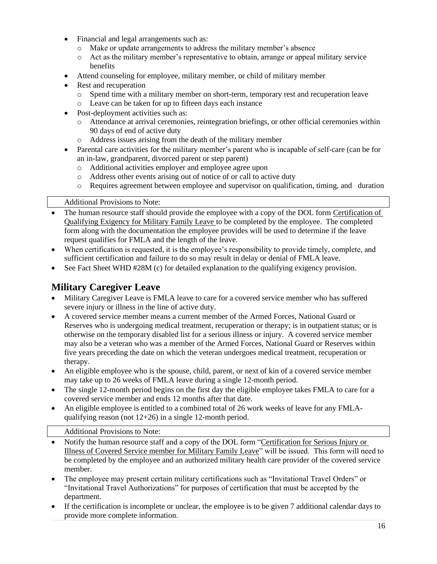- Financial and legal arrangements such as:
	- o Make or update arrangements to address the military member's absence
	- o Act as the military member's representative to obtain, arrange or appeal military service benefits
- Attend counseling for employee, military member, or child of military member
- Rest and recuperation
	- o Spend time with a military member on short-term, temporary rest and recuperation leave
	- o Leave can be taken for up to fifteen days each instance
- Post-deployment activities such as:
	- o Attendance at arrival ceremonies, reintegration briefings, or other official ceremonies within 90 days of end of active duty
	- o Address issues arising from the death of the military member
- Parental care activities for the military member's parent who is incapable of self-care (can be for an in-law, grandparent, divorced parent or step parent)
	- o Additional activities employer and employee agree upon
	- o Address other events arising out of notice of or call to active duty
	- o Requires agreement between employee and supervisor on qualification, timing, and duration

#### Additional Provisions to Note:

- The human resource staff should provide the employee with a copy of the DOL form Certification of Qualifying Exigency for Military Family Leave to be completed by the employee. The completed form along with the documentation the employee provides will be used to determine if the leave request qualifies for FMLA and the length of the leave.
- When certification is requested, it is the employee's responsibility to provide timely, complete, and sufficient certification and failure to do so may result in delay or denial of FMLA leave.
- See Fact Sheet WHD #28M (c) for detailed explanation to the qualifying exigency provision.

# <span id="page-15-0"></span>**Military Caregiver Leave**

- Military Caregiver Leave is FMLA leave to care for a covered service member who has suffered severe injury or illness in the line of active duty.
- A covered service member means a current member of the Armed Forces, National Guard or Reserves who is undergoing medical treatment, recuperation or therapy; is in outpatient status; or is otherwise on the temporary disabled list for a serious illness or injury. A covered service member may also be a veteran who was a member of the Armed Forces, National Guard or Reserves within five years preceding the date on which the veteran undergoes medical treatment, recuperation or therapy.
- An eligible employee who is the spouse, child, parent, or next of kin of a covered service member may take up to 26 weeks of FMLA leave during a single 12-month period.
- The single 12-month period begins on the first day the eligible employee takes FMLA to care for a covered service member and ends 12 months after that date.
- An eligible employee is entitled to a combined total of 26 work weeks of leave for any FMLAqualifying reason (not 12+26) in a single 12-month period.

#### Additional Provisions to Note:

- Notify the human resource staff and a copy of the DOL form "Certification for Serious Injury or Illness of Covered Service member for Military Family Leave" will be issued. This form will need to be completed by the employee and an authorized military health care provider of the covered service member.
- The employee may present certain military certifications such as "Invitational Travel Orders" or "Invitational Travel Authorizations" for purposes of certification that must be accepted by the department.
- If the certification is incomplete or unclear, the employee is to be given 7 additional calendar days to provide more complete information.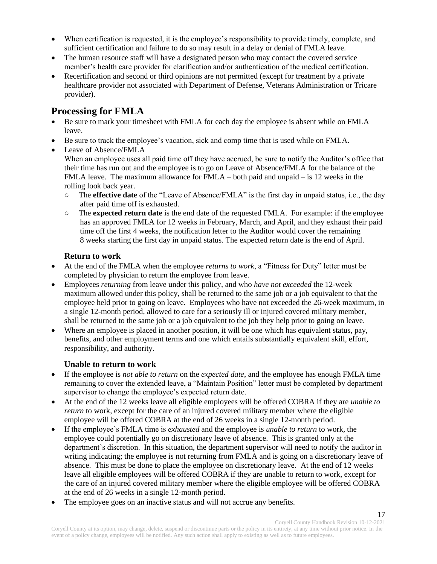- When certification is requested, it is the employee's responsibility to provide timely, complete, and sufficient certification and failure to do so may result in a delay or denial of FMLA leave.
- The human resource staff will have a designated person who may contact the covered service member's health care provider for clarification and/or authentication of the medical certification.
- Recertification and second or third opinions are not permitted (except for treatment by a private healthcare provider not associated with Department of Defense, Veterans Administration or Tricare provider).

# <span id="page-16-0"></span>**Processing for FMLA**

- Be sure to mark your timesheet with FMLA for each day the employee is absent while on FMLA leave.
- Be sure to track the employee's vacation, sick and comp time that is used while on FMLA.
	- Leave of Absence/FMLA When an employee uses all paid time off they have accrued, be sure to notify the Auditor's office that their time has run out and the employee is to go on Leave of Absence/FMLA for the balance of the FMLA leave. The maximum allowance for  $FMLA$  – both paid and unpaid – is 12 weeks in the rolling look back year.
		- The **effective date** of the "Leave of Absence/FMLA" is the first day in unpaid status, i.e., the day after paid time off is exhausted.
		- The **expected return date** is the end date of the requested FMLA. For example: if the employee has an approved FMLA for 12 weeks in February, March, and April, and they exhaust their paid time off the first 4 weeks, the notification letter to the Auditor would cover the remaining 8 weeks starting the first day in unpaid status. The expected return date is the end of April.

#### **Return to work**

- At the end of the FMLA when the employee *returns to work*, a "Fitness for Duty" letter must be completed by physician to return the employee from leave.
- Employees *returning* from leave under this policy, and who *have not exceeded* the 12-week maximum allowed under this policy, shall be returned to the same job or a job equivalent to that the employee held prior to going on leave. Employees who have not exceeded the 26-week maximum, in a single 12-month period, allowed to care for a seriously ill or injured covered military member, shall be returned to the same job or a job equivalent to the job they help prior to going on leave.
- Where an employee is placed in another position, it will be one which has equivalent status, pay, benefits, and other employment terms and one which entails substantially equivalent skill, effort, responsibility, and authority.

#### **Unable to return to work**

- If the employee is *not able to return* on the *expected date*, and the employee has enough FMLA time remaining to cover the extended leave, a "Maintain Position" letter must be completed by department supervisor to change the employee's expected return date.
- At the end of the 12 weeks leave all eligible employees will be offered COBRA if they are *unable to return* to work, except for the care of an injured covered military member where the eligible employee will be offered COBRA at the end of 26 weeks in a single 12-month period.
- If the employee's FMLA time is *exhausted* and the employee is *unable to return* to work, the employee could potentially go on discretionary leave of absence. This is granted only at the department's discretion. In this situation, the department supervisor will need to notify the auditor in writing indicating; the employee is not returning from FMLA and is going on a discretionary leave of absence. This must be done to place the employee on discretionary leave. At the end of 12 weeks leave all eligible employees will be offered COBRA if they are unable to return to work, except for the care of an injured covered military member where the eligible employee will be offered COBRA at the end of 26 weeks in a single 12-month period.
- The employee goes on an inactive status and will not accrue any benefits.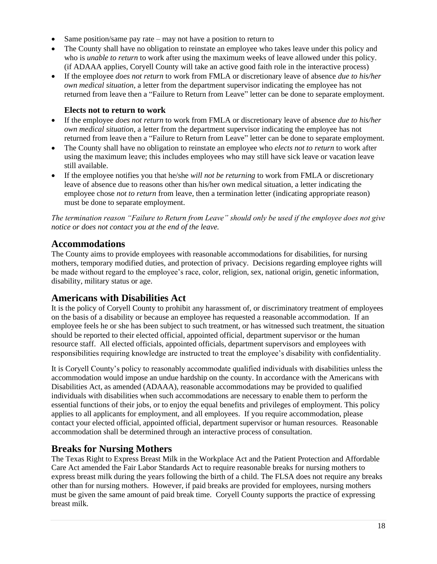- Same position/same pay rate may not have a position to return to
- The County shall have no obligation to reinstate an employee who takes leave under this policy and who is *unable to return* to work after using the maximum weeks of leave allowed under this policy. (if ADAAA applies, Coryell County will take an active good faith role in the interactive process)
- If the employee *does not return* to work from FMLA or discretionary leave of absence *due to his/her own medical situation*, a letter from the department supervisor indicating the employee has not returned from leave then a "Failure to Return from Leave" letter can be done to separate employment.

#### **Elects not to return to work**

- If the employee *does not return* to work from FMLA or discretionary leave of absence *due to his/her own medical situation*, a letter from the department supervisor indicating the employee has not returned from leave then a "Failure to Return from Leave" letter can be done to separate employment.
- The County shall have no obligation to reinstate an employee who *elects not to return* to work after using the maximum leave; this includes employees who may still have sick leave or vacation leave still available.
- If the employee notifies you that he/she *will not be returning* to work from FMLA or discretionary leave of absence due to reasons other than his/her own medical situation, a letter indicating the employee chose *not to return* from leave, then a termination letter (indicating appropriate reason) must be done to separate employment.

*The termination reason "Failure to Return from Leave" should only be used if the employee does not give notice or does not contact you at the end of the leave.*

# <span id="page-17-0"></span>**Accommodations**

The County aims to provide employees with reasonable accommodations for disabilities, for nursing mothers, temporary modified duties, and protection of privacy. Decisions regarding employee rights will be made without regard to the employee's race, color, religion, sex, national origin, genetic information, disability, military status or age.

# <span id="page-17-1"></span>**Americans with Disabilities Act**

It is the policy of Coryell County to prohibit any harassment of, or discriminatory treatment of employees on the basis of a disability or because an employee has requested a reasonable accommodation. If an employee feels he or she has been subject to such treatment, or has witnessed such treatment, the situation should be reported to their elected official, appointed official, department supervisor or the human resource staff. All elected officials, appointed officials, department supervisors and employees with responsibilities requiring knowledge are instructed to treat the employee's disability with confidentiality.

It is Coryell County's policy to reasonably accommodate qualified individuals with disabilities unless the accommodation would impose an undue hardship on the county. In accordance with the Americans with Disabilities Act, as amended (ADAAA), reasonable accommodations may be provided to qualified individuals with disabilities when such accommodations are necessary to enable them to perform the essential functions of their jobs, or to enjoy the equal benefits and privileges of employment. This policy applies to all applicants for employment, and all employees. If you require accommodation, please contact your elected official, appointed official, department supervisor or human resources. Reasonable accommodation shall be determined through an interactive process of consultation.

#### <span id="page-17-2"></span>**Breaks for Nursing Mothers**

The Texas Right to Express Breast Milk in the Workplace Act and the Patient Protection and Affordable Care Act amended the Fair Labor Standards Act to require reasonable breaks for nursing mothers to express breast milk during the years following the birth of a child. The FLSA does not require any breaks other than for nursing mothers. However, if paid breaks are provided for employees, nursing mothers must be given the same amount of paid break time. Coryell County supports the practice of expressing breast milk.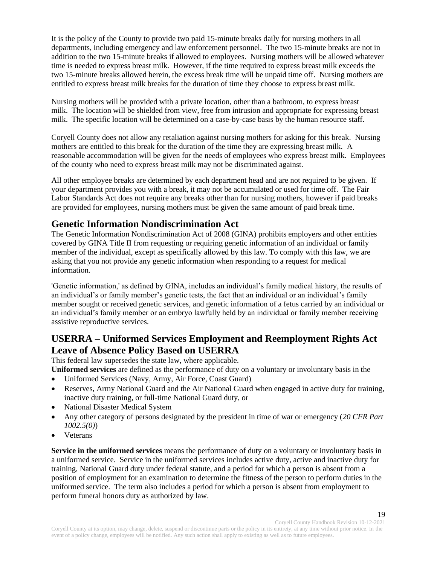It is the policy of the County to provide two paid 15-minute breaks daily for nursing mothers in all departments, including emergency and law enforcement personnel. The two 15-minute breaks are not in addition to the two 15-minute breaks if allowed to employees. Nursing mothers will be allowed whatever time is needed to express breast milk. However, if the time required to express breast milk exceeds the two 15-minute breaks allowed herein, the excess break time will be unpaid time off. Nursing mothers are entitled to express breast milk breaks for the duration of time they choose to express breast milk.

Nursing mothers will be provided with a private location, other than a bathroom, to express breast milk. The location will be shielded from view, free from intrusion and appropriate for expressing breast milk. The specific location will be determined on a case-by-case basis by the human resource staff.

Coryell County does not allow any retaliation against nursing mothers for asking for this break. Nursing mothers are entitled to this break for the duration of the time they are expressing breast milk. A reasonable accommodation will be given for the needs of employees who express breast milk. Employees of the county who need to express breast milk may not be discriminated against.

All other employee breaks are determined by each department head and are not required to be given. If your department provides you with a break, it may not be accumulated or used for time off. The Fair Labor Standards Act does not require any breaks other than for nursing mothers, however if paid breaks are provided for employees, nursing mothers must be given the same amount of paid break time.

### <span id="page-18-0"></span>**Genetic Information Nondiscrimination Act**

The Genetic Information Nondiscrimination Act of 2008 (GINA) prohibits employers and other entities covered by GINA Title II from requesting or requiring genetic information of an individual or family member of the individual, except as specifically allowed by this law. To comply with this law, we are asking that you not provide any genetic information when responding to a request for medical information.

'Genetic information,' as defined by GINA, includes an individual's family medical history, the results of an individual's or family member's genetic tests, the fact that an individual or an individual's family member sought or received genetic services, and genetic information of a fetus carried by an individual or an individual's family member or an embryo lawfully held by an individual or family member receiving assistive reproductive services.

# <span id="page-18-1"></span>**USERRA – Uniformed Services Employment and Reemployment Rights Act Leave of Absence Policy Based on USERRA**

<span id="page-18-2"></span>This federal law supersedes the state law, where applicable.

**Uniformed services** are defined as the performance of duty on a voluntary or involuntary basis in the

- Uniformed Services (Navy, Army, Air Force, Coast Guard)
- Reserves, Army National Guard and the Air National Guard when engaged in active duty for training, inactive duty training, or full-time National Guard duty, or
- National Disaster Medical System
- Any other category of persons designated by the president in time of war or emergency (*20 CFR Part 1002.5(0)*)
- Veterans

**Service in the uniformed services** means the performance of duty on a voluntary or involuntary basis in a uniformed service. Service in the uniformed services includes active duty, active and inactive duty for training, National Guard duty under federal statute, and a period for which a person is absent from a position of employment for an examination to determine the fitness of the person to perform duties in the uniformed service. The term also includes a period for which a person is absent from employment to perform funeral honors duty as authorized by law.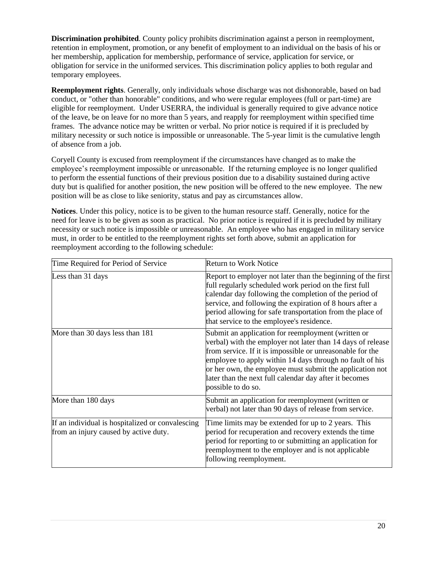**Discrimination prohibited**. County policy prohibits discrimination against a person in reemployment, retention in employment, promotion, or any benefit of employment to an individual on the basis of his or her membership, application for membership, performance of service, application for service, or obligation for service in the uniformed services. This discrimination policy applies to both regular and temporary employees.

**Reemployment rights**. Generally, only individuals whose discharge was not dishonorable, based on bad conduct, or "other than honorable" conditions, and who were regular employees (full or part-time) are eligible for reemployment. Under USERRA, the individual is generally required to give advance notice of the leave, be on leave for no more than 5 years, and reapply for reemployment within specified time frames. The advance notice may be written or verbal. No prior notice is required if it is precluded by military necessity or such notice is impossible or unreasonable. The 5-year limit is the cumulative length of absence from a job.

Coryell County is excused from reemployment if the circumstances have changed as to make the employee's reemployment impossible or unreasonable. If the returning employee is no longer qualified to perform the essential functions of their previous position due to a disability sustained during active duty but is qualified for another position, the new position will be offered to the new employee. The new position will be as close to like seniority, status and pay as circumstances allow.

**Notices**. Under this policy, notice is to be given to the human resource staff. Generally, notice for the need for leave is to be given as soon as practical. No prior notice is required if it is precluded by military necessity or such notice is impossible or unreasonable. An employee who has engaged in military service must, in order to be entitled to the reemployment rights set forth above, submit an application for reemployment according to the following schedule:

| Time Required for Period of Service                                                       | <b>Return to Work Notice</b>                                                                                                                                                                                                                                                                                                                                                           |
|-------------------------------------------------------------------------------------------|----------------------------------------------------------------------------------------------------------------------------------------------------------------------------------------------------------------------------------------------------------------------------------------------------------------------------------------------------------------------------------------|
| Less than 31 days                                                                         | Report to employer not later than the beginning of the first<br>full regularly scheduled work period on the first full<br>calendar day following the completion of the period of<br>service, and following the expiration of 8 hours after a<br>period allowing for safe transportation from the place of<br>that service to the employee's residence.                                 |
| More than 30 days less than 181                                                           | Submit an application for reemployment (written or<br>verbal) with the employer not later than 14 days of release<br>from service. If it is impossible or unreasonable for the<br>employee to apply within 14 days through no fault of his<br>or her own, the employee must submit the application not<br>later than the next full calendar day after it becomes<br>possible to do so. |
| More than 180 days                                                                        | Submit an application for reemployment (written or<br>verbal) not later than 90 days of release from service.                                                                                                                                                                                                                                                                          |
| If an individual is hospitalized or convalescing<br>from an injury caused by active duty. | Time limits may be extended for up to 2 years. This<br>period for recuperation and recovery extends the time<br>period for reporting to or submitting an application for<br>reemployment to the employer and is not applicable<br>following reemployment.                                                                                                                              |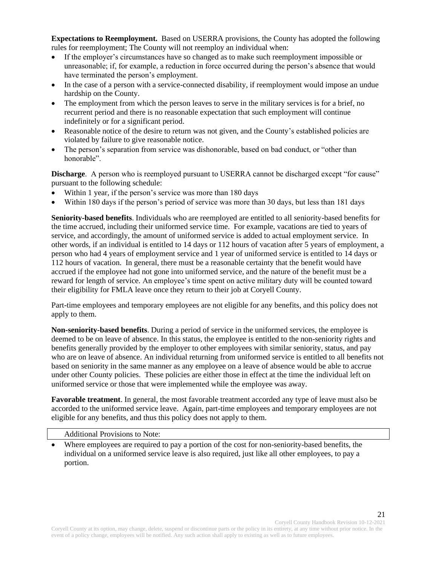**Expectations to Reemployment.** Based on USERRA provisions, the County has adopted the following rules for reemployment; The County will not reemploy an individual when:

- If the employer's circumstances have so changed as to make such reemployment impossible or unreasonable; if, for example, a reduction in force occurred during the person's absence that would have terminated the person's employment.
- In the case of a person with a service-connected disability, if reemployment would impose an undue hardship on the County.
- The employment from which the person leaves to serve in the military services is for a brief, no recurrent period and there is no reasonable expectation that such employment will continue indefinitely or for a significant period.
- Reasonable notice of the desire to return was not given, and the County's established policies are violated by failure to give reasonable notice.
- The person's separation from service was dishonorable, based on bad conduct, or "other than honorable".

**Discharge.** A person who is reemployed pursuant to USERRA cannot be discharged except "for cause" pursuant to the following schedule:

- Within 1 year, if the person's service was more than 180 days
- Within 180 days if the person's period of service was more than 30 days, but less than 181 days

**Seniority-based benefits**. Individuals who are reemployed are entitled to all seniority-based benefits for the time accrued, including their uniformed service time. For example, vacations are tied to years of service, and accordingly, the amount of uniformed service is added to actual employment service. In other words, if an individual is entitled to 14 days or 112 hours of vacation after 5 years of employment, a person who had 4 years of employment service and 1 year of uniformed service is entitled to 14 days or 112 hours of vacation. In general, there must be a reasonable certainty that the benefit would have accrued if the employee had not gone into uniformed service, and the nature of the benefit must be a reward for length of service. An employee's time spent on active military duty will be counted toward their eligibility for FMLA leave once they return to their job at Coryell County.

Part-time employees and temporary employees are not eligible for any benefits, and this policy does not apply to them.

**Non-seniority-based benefits**. During a period of service in the uniformed services, the employee is deemed to be on leave of absence. In this status, the employee is entitled to the non-seniority rights and benefits generally provided by the employer to other employees with similar seniority, status, and pay who are on leave of absence. An individual returning from uniformed service is entitled to all benefits not based on seniority in the same manner as any employee on a leave of absence would be able to accrue under other County policies. These policies are either those in effect at the time the individual left on uniformed service or those that were implemented while the employee was away.

**Favorable treatment**. In general, the most favorable treatment accorded any type of leave must also be accorded to the uniformed service leave. Again, part-time employees and temporary employees are not eligible for any benefits, and thus this policy does not apply to them.

#### Additional Provisions to Note:

• Where employees are required to pay a portion of the cost for non-seniority-based benefits, the individual on a uniformed service leave is also required, just like all other employees, to pay a portion.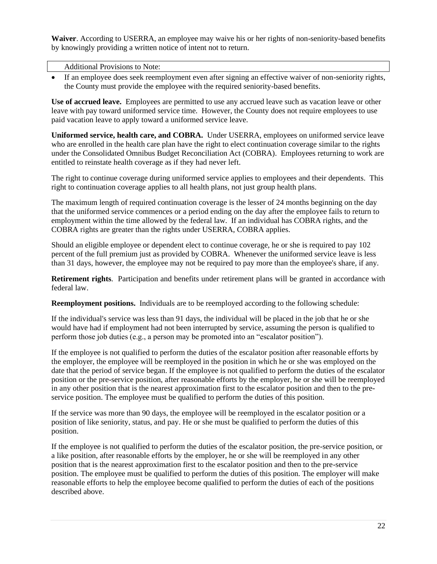**Waiver**. According to USERRA, an employee may waive his or her rights of non-seniority-based benefits by knowingly providing a written notice of intent not to return.

#### Additional Provisions to Note:

• If an employee does seek reemployment even after signing an effective waiver of non-seniority rights, the County must provide the employee with the required seniority-based benefits.

**Use of accrued leave.** Employees are permitted to use any accrued leave such as vacation leave or other leave with pay toward uniformed service time. However, the County does not require employees to use paid vacation leave to apply toward a uniformed service leave.

**Uniformed service, health care, and COBRA.** Under USERRA, employees on uniformed service leave who are enrolled in the health care plan have the right to elect continuation coverage similar to the rights under the Consolidated Omnibus Budget Reconciliation Act (COBRA). Employees returning to work are entitled to reinstate health coverage as if they had never left.

The right to continue coverage during uniformed service applies to employees and their dependents. This right to continuation coverage applies to all health plans, not just group health plans.

The maximum length of required continuation coverage is the lesser of 24 months beginning on the day that the uniformed service commences or a period ending on the day after the employee fails to return to employment within the time allowed by the federal law. If an individual has COBRA rights, and the COBRA rights are greater than the rights under USERRA, COBRA applies.

Should an eligible employee or dependent elect to continue coverage, he or she is required to pay 102 percent of the full premium just as provided by COBRA. Whenever the uniformed service leave is less than 31 days, however, the employee may not be required to pay more than the employee's share, if any.

**Retirement rights**. Participation and benefits under retirement plans will be granted in accordance with federal law.

**Reemployment positions.** Individuals are to be reemployed according to the following schedule:

If the individual's service was less than 91 days, the individual will be placed in the job that he or she would have had if employment had not been interrupted by service, assuming the person is qualified to perform those job duties (e.g., a person may be promoted into an "escalator position").

If the employee is not qualified to perform the duties of the escalator position after reasonable efforts by the employer, the employee will be reemployed in the position in which he or she was employed on the date that the period of service began. If the employee is not qualified to perform the duties of the escalator position or the pre-service position, after reasonable efforts by the employer, he or she will be reemployed in any other position that is the nearest approximation first to the escalator position and then to the preservice position. The employee must be qualified to perform the duties of this position.

If the service was more than 90 days, the employee will be reemployed in the escalator position or a position of like seniority, status, and pay. He or she must be qualified to perform the duties of this position.

If the employee is not qualified to perform the duties of the escalator position, the pre-service position, or a like position, after reasonable efforts by the employer, he or she will be reemployed in any other position that is the nearest approximation first to the escalator position and then to the pre-service position. The employee must be qualified to perform the duties of this position. The employer will make reasonable efforts to help the employee become qualified to perform the duties of each of the positions described above.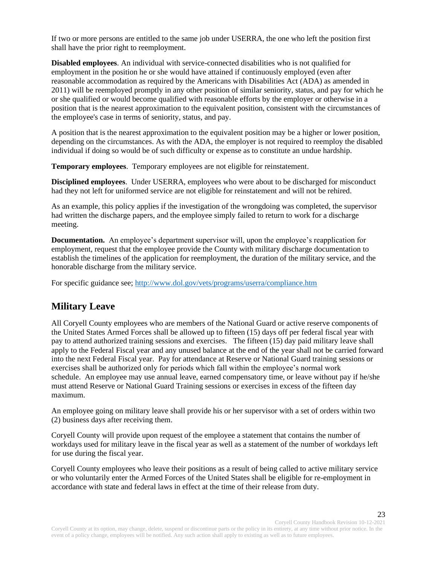If two or more persons are entitled to the same job under USERRA, the one who left the position first shall have the prior right to reemployment.

**Disabled employees**. An individual with service-connected disabilities who is not qualified for employment in the position he or she would have attained if continuously employed (even after reasonable accommodation as required by the Americans with Disabilities Act (ADA) as amended in 2011) will be reemployed promptly in any other position of similar seniority, status, and pay for which he or she qualified or would become qualified with reasonable efforts by the employer or otherwise in a position that is the nearest approximation to the equivalent position, consistent with the circumstances of the employee's case in terms of seniority, status, and pay.

A position that is the nearest approximation to the equivalent position may be a higher or lower position, depending on the circumstances. As with the ADA, the employer is not required to reemploy the disabled individual if doing so would be of such difficulty or expense as to constitute an undue hardship.

**Temporary employees**. Temporary employees are not eligible for reinstatement.

**Disciplined employees**. Under USERRA, employees who were about to be discharged for misconduct had they not left for uniformed service are not eligible for reinstatement and will not be rehired.

As an example, this policy applies if the investigation of the wrongdoing was completed, the supervisor had written the discharge papers, and the employee simply failed to return to work for a discharge meeting.

**Documentation.** An employee's department supervisor will, upon the employee's reapplication for employment, request that the employee provide the County with military discharge documentation to establish the timelines of the application for reemployment, the duration of the military service, and the honorable discharge from the military service.

For specific guidance see;<http://www.dol.gov/vets/programs/userra/compliance.htm>

# <span id="page-22-0"></span>**Military Leave**

All Coryell County employees who are members of the National Guard or active reserve components of the United States Armed Forces shall be allowed up to fifteen (15) days off per federal fiscal year with pay to attend authorized training sessions and exercises. The fifteen (15) day paid military leave shall apply to the Federal Fiscal year and any unused balance at the end of the year shall not be carried forward into the next Federal Fiscal year. Pay for attendance at Reserve or National Guard training sessions or exercises shall be authorized only for periods which fall within the employee's normal work schedule. An employee may use annual leave, earned compensatory time, or leave without pay if he/she must attend Reserve or National Guard Training sessions or exercises in excess of the fifteen day maximum.

An employee going on military leave shall provide his or her supervisor with a set of orders within two (2) business days after receiving them.

Coryell County will provide upon request of the employee a statement that contains the number of workdays used for military leave in the fiscal year as well as a statement of the number of workdays left for use during the fiscal year.

Coryell County employees who leave their positions as a result of being called to active military service or who voluntarily enter the Armed Forces of the United States shall be eligible for re-employment in accordance with state and federal laws in effect at the time of their release from duty.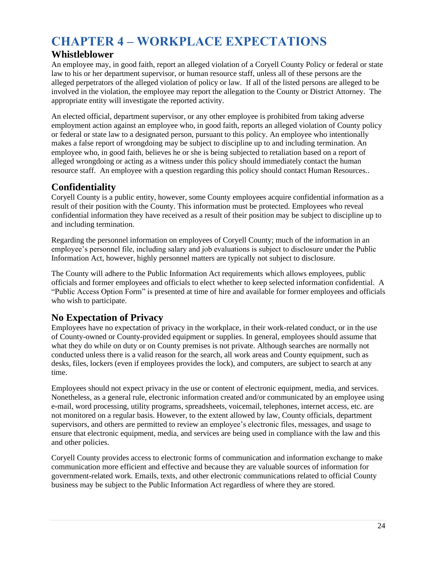# <span id="page-23-0"></span>**CHAPTER 4 – WORKPLACE EXPECTATIONS**

# <span id="page-23-1"></span>**Whistleblower**

An employee may, in good faith, report an alleged violation of a Coryell County Policy or federal or state law to his or her department supervisor, or human resource staff, unless all of these persons are the alleged perpetrators of the alleged violation of policy or law. If all of the listed persons are alleged to be involved in the violation, the employee may report the allegation to the County or District Attorney. The appropriate entity will investigate the reported activity.

An elected official, department supervisor, or any other employee is prohibited from taking adverse employment action against an employee who, in good faith, reports an alleged violation of County policy or federal or state law to a designated person, pursuant to this policy. An employee who intentionally makes a false report of wrongdoing may be subject to discipline up to and including termination. An employee who, in good faith, believes he or she is being subjected to retaliation based on a report of alleged wrongdoing or acting as a witness under this policy should immediately contact the human resource staff. An employee with a question regarding this policy should contact Human Resources..

# <span id="page-23-2"></span>**Confidentiality**

Coryell County is a public entity, however, some County employees acquire confidential information as a result of their position with the County. This information must be protected. Employees who reveal confidential information they have received as a result of their position may be subject to discipline up to and including termination.

Regarding the personnel information on employees of Coryell County; much of the information in an employee's personnel file, including salary and job evaluations is subject to disclosure under the Public Information Act, however, highly personnel matters are typically not subject to disclosure.

The County will adhere to the Public Information Act requirements which allows employees, public officials and former employees and officials to elect whether to keep selected information confidential. A "Public Access Option Form" is presented at time of hire and available for former employees and officials who wish to participate.

# <span id="page-23-3"></span>**No Expectation of Privacy**

Employees have no expectation of privacy in the workplace, in their work-related conduct, or in the use of County-owned or County-provided equipment or supplies. In general, employees should assume that what they do while on duty or on County premises is not private. Although searches are normally not conducted unless there is a valid reason for the search, all work areas and County equipment, such as desks, files, lockers (even if employees provides the lock), and computers, are subject to search at any time.

Employees should not expect privacy in the use or content of electronic equipment, media, and services. Nonetheless, as a general rule, electronic information created and/or communicated by an employee using e-mail, word processing, utility programs, spreadsheets, voicemail, telephones, internet access, etc. are not monitored on a regular basis. However, to the extent allowed by law, County officials, department supervisors, and others are permitted to review an employee's electronic files, messages, and usage to ensure that electronic equipment, media, and services are being used in compliance with the law and this and other policies.

Coryell County provides access to electronic forms of communication and information exchange to make communication more efficient and effective and because they are valuable sources of information for government-related work. Emails, texts, and other electronic communications related to official County business may be subject to the Public Information Act regardless of where they are stored.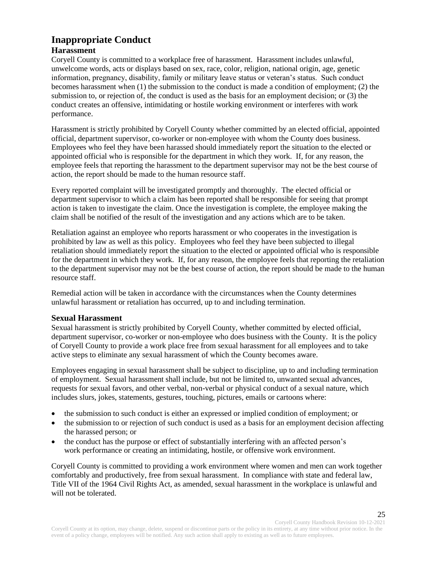#### <span id="page-24-0"></span>**Inappropriate Conduct Harassment**

Coryell County is committed to a workplace free of harassment. Harassment includes unlawful, unwelcome words, acts or displays based on sex, race, color, religion, national origin, age, genetic information, pregnancy, disability, family or military leave status or veteran's status. Such conduct becomes harassment when (1) the submission to the conduct is made a condition of employment; (2) the submission to, or rejection of, the conduct is used as the basis for an employment decision; or (3) the conduct creates an offensive, intimidating or hostile working environment or interferes with work performance.

Harassment is strictly prohibited by Coryell County whether committed by an elected official, appointed official, department supervisor, co-worker or non-employee with whom the County does business. Employees who feel they have been harassed should immediately report the situation to the elected or appointed official who is responsible for the department in which they work. If, for any reason, the employee feels that reporting the harassment to the department supervisor may not be the best course of action, the report should be made to the human resource staff.

Every reported complaint will be investigated promptly and thoroughly. The elected official or department supervisor to which a claim has been reported shall be responsible for seeing that prompt action is taken to investigate the claim. Once the investigation is complete, the employee making the claim shall be notified of the result of the investigation and any actions which are to be taken.

Retaliation against an employee who reports harassment or who cooperates in the investigation is prohibited by law as well as this policy. Employees who feel they have been subjected to illegal retaliation should immediately report the situation to the elected or appointed official who is responsible for the department in which they work. If, for any reason, the employee feels that reporting the retaliation to the department supervisor may not be the best course of action, the report should be made to the human resource staff.

Remedial action will be taken in accordance with the circumstances when the County determines unlawful harassment or retaliation has occurred, up to and including termination.

#### **Sexual Harassment**

Sexual harassment is strictly prohibited by Coryell County, whether committed by elected official, department supervisor, co-worker or non-employee who does business with the County. It is the policy of Coryell County to provide a work place free from sexual harassment for all employees and to take active steps to eliminate any sexual harassment of which the County becomes aware.

Employees engaging in sexual harassment shall be subject to discipline, up to and including termination of employment. Sexual harassment shall include, but not be limited to, unwanted sexual advances, requests for sexual favors, and other verbal, non-verbal or physical conduct of a sexual nature, which includes slurs, jokes, statements, gestures, touching, pictures, emails or cartoons where:

- the submission to such conduct is either an expressed or implied condition of employment; or
- the submission to or rejection of such conduct is used as a basis for an employment decision affecting the harassed person; or
- the conduct has the purpose or effect of substantially interfering with an affected person's work performance or creating an intimidating, hostile, or offensive work environment.

Coryell County is committed to providing a work environment where women and men can work together comfortably and productively, free from sexual harassment. In compliance with state and federal law, Title VII of the 1964 Civil Rights Act, as amended, sexual harassment in the workplace is unlawful and will not be tolerated.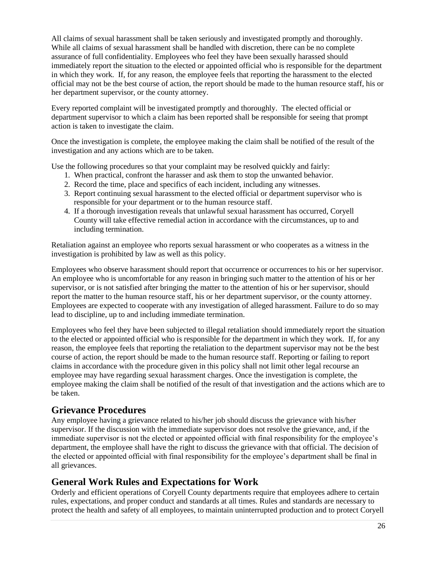All claims of sexual harassment shall be taken seriously and investigated promptly and thoroughly. While all claims of sexual harassment shall be handled with discretion, there can be no complete assurance of full confidentiality. Employees who feel they have been sexually harassed should immediately report the situation to the elected or appointed official who is responsible for the department in which they work. If, for any reason, the employee feels that reporting the harassment to the elected official may not be the best course of action, the report should be made to the human resource staff, his or her department supervisor, or the county attorney.

Every reported complaint will be investigated promptly and thoroughly. The elected official or department supervisor to which a claim has been reported shall be responsible for seeing that prompt action is taken to investigate the claim.

Once the investigation is complete, the employee making the claim shall be notified of the result of the investigation and any actions which are to be taken.

Use the following procedures so that your complaint may be resolved quickly and fairly:

- 1. When practical, confront the harasser and ask them to stop the unwanted behavior.
- 2. Record the time, place and specifics of each incident, including any witnesses.
- 3. Report continuing sexual harassment to the elected official or department supervisor who is responsible for your department or to the human resource staff.
- 4. If a thorough investigation reveals that unlawful sexual harassment has occurred, Coryell County will take effective remedial action in accordance with the circumstances, up to and including termination.

Retaliation against an employee who reports sexual harassment or who cooperates as a witness in the investigation is prohibited by law as well as this policy.

Employees who observe harassment should report that occurrence or occurrences to his or her supervisor. An employee who is uncomfortable for any reason in bringing such matter to the attention of his or her supervisor, or is not satisfied after bringing the matter to the attention of his or her supervisor, should report the matter to the human resource staff, his or her department supervisor, or the county attorney. Employees are expected to cooperate with any investigation of alleged harassment. Failure to do so may lead to discipline, up to and including immediate termination.

Employees who feel they have been subjected to illegal retaliation should immediately report the situation to the elected or appointed official who is responsible for the department in which they work. If, for any reason, the employee feels that reporting the retaliation to the department supervisor may not be the best course of action, the report should be made to the human resource staff. Reporting or failing to report claims in accordance with the procedure given in this policy shall not limit other legal recourse an employee may have regarding sexual harassment charges. Once the investigation is complete, the employee making the claim shall be notified of the result of that investigation and the actions which are to be taken.

#### <span id="page-25-0"></span>**Grievance Procedures**

Any employee having a grievance related to his/her job should discuss the grievance with his/her supervisor. If the discussion with the immediate supervisor does not resolve the grievance, and, if the immediate supervisor is not the elected or appointed official with final responsibility for the employee's department, the employee shall have the right to discuss the grievance with that official. The decision of the elected or appointed official with final responsibility for the employee's department shall be final in all grievances.

#### <span id="page-25-1"></span>**General Work Rules and Expectations for Work**

Orderly and efficient operations of Coryell County departments require that employees adhere to certain rules, expectations, and proper conduct and standards at all times. Rules and standards are necessary to protect the health and safety of all employees, to maintain uninterrupted production and to protect Coryell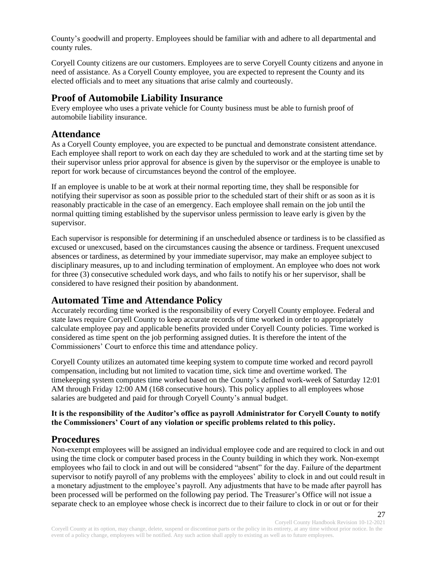County's goodwill and property. Employees should be familiar with and adhere to all departmental and county rules.

Coryell County citizens are our customers. Employees are to serve Coryell County citizens and anyone in need of assistance. As a Coryell County employee, you are expected to represent the County and its elected officials and to meet any situations that arise calmly and courteously.

#### <span id="page-26-0"></span>**Proof of Automobile Liability Insurance**

Every employee who uses a private vehicle for County business must be able to furnish proof of automobile liability insurance.

#### <span id="page-26-1"></span>**Attendance**

As a Coryell County employee, you are expected to be punctual and demonstrate consistent attendance. Each employee shall report to work on each day they are scheduled to work and at the starting time set by their supervisor unless prior approval for absence is given by the supervisor or the employee is unable to report for work because of circumstances beyond the control of the employee.

If an employee is unable to be at work at their normal reporting time, they shall be responsible for notifying their supervisor as soon as possible prior to the scheduled start of their shift or as soon as it is reasonably practicable in the case of an emergency. Each employee shall remain on the job until the normal quitting timing established by the supervisor unless permission to leave early is given by the supervisor.

Each supervisor is responsible for determining if an unscheduled absence or tardiness is to be classified as excused or unexcused, based on the circumstances causing the absence or tardiness. Frequent unexcused absences or tardiness, as determined by your immediate supervisor, may make an employee subject to disciplinary measures, up to and including termination of employment. An employee who does not work for three (3) consecutive scheduled work days, and who fails to notify his or her supervisor, shall be considered to have resigned their position by abandonment.

# <span id="page-26-2"></span>**Automated Time and Attendance Policy**

Accurately recording time worked is the responsibility of every Coryell County employee. Federal and state laws require Coryell County to keep accurate records of time worked in order to appropriately calculate employee pay and applicable benefits provided under Coryell County policies. Time worked is considered as time spent on the job performing assigned duties. It is therefore the intent of the Commissioners' Court to enforce this time and attendance policy.

Coryell County utilizes an automated time keeping system to compute time worked and record payroll compensation, including but not limited to vacation time, sick time and overtime worked. The timekeeping system computes time worked based on the County's defined work-week of Saturday 12:01 AM through Friday 12:00 AM (168 consecutive hours). This policy applies to all employees whose salaries are budgeted and paid for through Coryell County's annual budget.

#### **It is the responsibility of the Auditor's office as payroll Administrator for Coryell County to notify the Commissioners' Court of any violation or specific problems related to this policy.**

# <span id="page-26-3"></span>**Procedures**

Non-exempt employees will be assigned an individual employee code and are required to clock in and out using the time clock or computer based process in the County building in which they work. Non-exempt employees who fail to clock in and out will be considered "absent" for the day. Failure of the department supervisor to notify payroll of any problems with the employees' ability to clock in and out could result in a monetary adjustment to the employee's payroll. Any adjustments that have to be made after payroll has been processed will be performed on the following pay period. The Treasurer's Office will not issue a separate check to an employee whose check is incorrect due to their failure to clock in or out or for their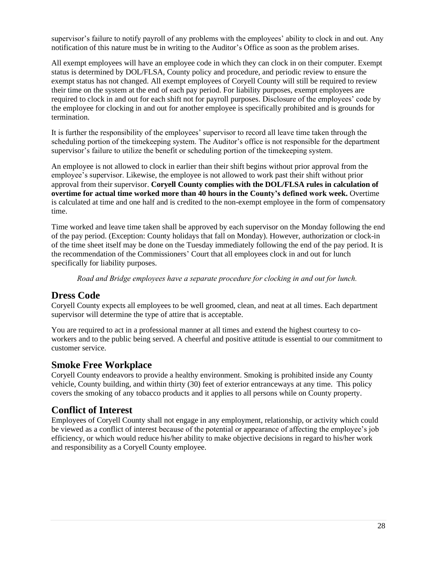supervisor's failure to notify payroll of any problems with the employees' ability to clock in and out. Any notification of this nature must be in writing to the Auditor's Office as soon as the problem arises.

All exempt employees will have an employee code in which they can clock in on their computer. Exempt status is determined by DOL/FLSA, County policy and procedure, and periodic review to ensure the exempt status has not changed. All exempt employees of Coryell County will still be required to review their time on the system at the end of each pay period. For liability purposes, exempt employees are required to clock in and out for each shift not for payroll purposes. Disclosure of the employees' code by the employee for clocking in and out for another employee is specifically prohibited and is grounds for termination.

It is further the responsibility of the employees' supervisor to record all leave time taken through the scheduling portion of the timekeeping system. The Auditor's office is not responsible for the department supervisor's failure to utilize the benefit or scheduling portion of the timekeeping system.

An employee is not allowed to clock in earlier than their shift begins without prior approval from the employee's supervisor. Likewise, the employee is not allowed to work past their shift without prior approval from their supervisor. **Coryell County complies with the DOL/FLSA rules in calculation of overtime for actual time worked more than 40 hours in the County's defined work week.** Overtime is calculated at time and one half and is credited to the non-exempt employee in the form of compensatory time.

Time worked and leave time taken shall be approved by each supervisor on the Monday following the end of the pay period. (Exception: County holidays that fall on Monday). However, authorization or clock-in of the time sheet itself may be done on the Tuesday immediately following the end of the pay period. It is the recommendation of the Commissioners' Court that all employees clock in and out for lunch specifically for liability purposes.

*Road and Bridge employees have a separate procedure for clocking in and out for lunch.*

#### <span id="page-27-0"></span>**Dress Code**

Coryell County expects all employees to be well groomed, clean, and neat at all times. Each department supervisor will determine the type of attire that is acceptable.

You are required to act in a professional manner at all times and extend the highest courtesy to coworkers and to the public being served. A cheerful and positive attitude is essential to our commitment to customer service.

#### <span id="page-27-1"></span>**Smoke Free Workplace**

Coryell County endeavors to provide a healthy environment. Smoking is prohibited inside any County vehicle, County building, and within thirty (30) feet of exterior entranceways at any time. This policy covers the smoking of any tobacco products and it applies to all persons while on County property.

#### <span id="page-27-2"></span>**Conflict of Interest**

Employees of Coryell County shall not engage in any employment, relationship, or activity which could be viewed as a conflict of interest because of the potential or appearance of affecting the employee's job efficiency, or which would reduce his/her ability to make objective decisions in regard to his/her work and responsibility as a Coryell County employee.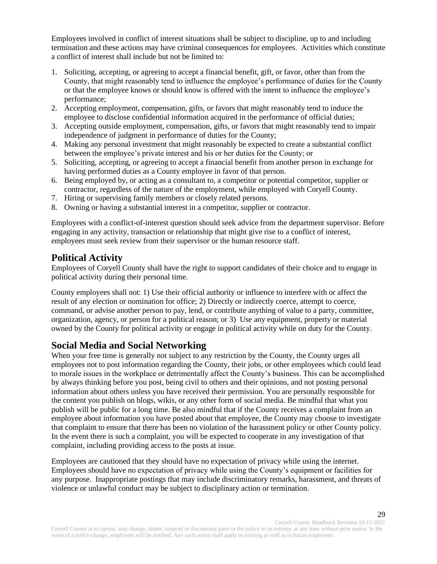Employees involved in conflict of interest situations shall be subject to discipline, up to and including termination and these actions may have criminal consequences for employees. Activities which constitute a conflict of interest shall include but not be limited to:

- 1. Soliciting, accepting, or agreeing to accept a financial benefit, gift, or favor, other than from the County, that might reasonably tend to influence the employee's performance of duties for the County or that the employee knows or should know is offered with the intent to influence the employee's performance;
- 2. Accepting employment, compensation, gifts, or favors that might reasonably tend to induce the employee to disclose confidential information acquired in the performance of official duties;
- 3. Accepting outside employment, compensation, gifts, or favors that might reasonably tend to impair independence of judgment in performance of duties for the County;
- 4. Making any personal investment that might reasonably be expected to create a substantial conflict between the employee's private interest and his or her duties for the County; or
- 5. Soliciting, accepting, or agreeing to accept a financial benefit from another person in exchange for having performed duties as a County employee in favor of that person.
- 6. Being employed by, or acting as a consultant to, a competitor or potential competitor, supplier or contractor, regardless of the nature of the employment, while employed with Coryell County.
- 7. Hiring or supervising family members or closely related persons.
- 8. Owning or having a substantial interest in a competitor, supplier or contractor.

Employees with a conflict-of-interest question should seek advice from the department supervisor. Before engaging in any activity, transaction or relationship that might give rise to a conflict of interest, employees must seek review from their supervisor or the human resource staff.

### <span id="page-28-0"></span>**Political Activity**

Employees of Coryell County shall have the right to support candidates of their choice and to engage in political activity during their personal time.

County employees shall not: 1) Use their official authority or influence to interfere with or affect the result of any election or nomination for office; 2) Directly or indirectly coerce, attempt to coerce, command, or advise another person to pay, lend, or contribute anything of value to a party, committee, organization, agency, or person for a political reason; or 3) Use any equipment, property or material owned by the County for political activity or engage in political activity while on duty for the County.

# <span id="page-28-1"></span>**Social Media and Social Networking**

When your free time is generally not subject to any restriction by the County, the County urges all employees not to post information regarding the County, their jobs, or other employees which could lead to morale issues in the workplace or detrimentally affect the County's business. This can be accomplished by always thinking before you post, being civil to others and their opinions, and not posting personal information about others unless you have received their permission. You are personally responsible for the content you publish on blogs, wikis, or any other form of social media. Be mindful that what you publish will be public for a long time. Be also mindful that if the County receives a complaint from an employee about information you have posted about that employee, the County may choose to investigate that complaint to ensure that there has been no violation of the harassment policy or other County policy. In the event there is such a complaint, you will be expected to cooperate in any investigation of that complaint, including providing access to the posts at issue.

Employees are cautioned that they should have no expectation of privacy while using the internet. Employees should have no expectation of privacy while using the County's equipment or facilities for any purpose. Inappropriate postings that may include discriminatory remarks, harassment, and threats of violence or unlawful conduct may be subject to disciplinary action or termination.

Coryell County Handbook Revision 10-12-2021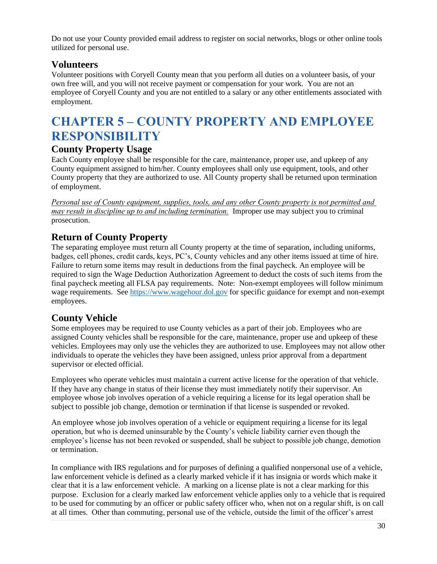Do not use your County provided email address to register on social networks, blogs or other online tools utilized for personal use.

# <span id="page-29-0"></span>**Volunteers**

Volunteer positions with Coryell County mean that you perform all duties on a volunteer basis, of your own free will, and you will not receive payment or compensation for your work. You are not an employee of Coryell County and you are not entitled to a salary or any other entitlements associated with employment.

# <span id="page-29-1"></span>**CHAPTER 5 – COUNTY PROPERTY AND EMPLOYEE RESPONSIBILITY**

# <span id="page-29-2"></span>**County Property Usage**

Each County employee shall be responsible for the care, maintenance, proper use, and upkeep of any County equipment assigned to him/her. County employees shall only use equipment, tools, and other County property that they are authorized to use. All County property shall be returned upon termination of employment.

*Personal use of County equipment, supplies, tools, and any other County property is not permitted and may result in discipline up to and including termination.* Improper use may subject you to criminal prosecution.

# <span id="page-29-3"></span>**Return of County Property**

The separating employee must return all County property at the time of separation, including uniforms, badges, cell phones, credit cards, keys, PC's, County vehicles and any other items issued at time of hire. Failure to return some items may result in deductions from the final paycheck. An employee will be required to sign the Wage Deduction Authorization Agreement to deduct the costs of such items from the final paycheck meeting all FLSA pay requirements. Note: Non-exempt employees will follow minimum wage requirements. See [https://www.wagehour.dol.gov](https://www.wagehour.dol.gov/) for specific guidance for exempt and non-exempt employees.

# <span id="page-29-4"></span>**County Vehicle**

Some employees may be required to use County vehicles as a part of their job. Employees who are assigned County vehicles shall be responsible for the care, maintenance, proper use and upkeep of these vehicles. Employees may only use the vehicles they are authorized to use. Employees may not allow other individuals to operate the vehicles they have been assigned, unless prior approval from a department supervisor or elected official.

Employees who operate vehicles must maintain a current active license for the operation of that vehicle. If they have any change in status of their license they must immediately notify their supervisor. An employee whose job involves operation of a vehicle requiring a license for its legal operation shall be subject to possible job change, demotion or termination if that license is suspended or revoked.

An employee whose job involves operation of a vehicle or equipment requiring a license for its legal operation, but who is deemed uninsurable by the County's vehicle liability carrier even though the employee's license has not been revoked or suspended, shall be subject to possible job change, demotion or termination.

In compliance with IRS regulations and for purposes of defining a qualified nonpersonal use of a vehicle, law enforcement vehicle is defined as a clearly marked vehicle if it has insignia or words which make it clear that it is a law enforcement vehicle. A marking on a license plate is not a clear marking for this purpose. Exclusion for a clearly marked law enforcement vehicle applies only to a vehicle that is required to be used for commuting by an officer or public safety officer who, when not on a regular shift, is on call at all times. Other than commuting, personal use of the vehicle, outside the limit of the officer's arrest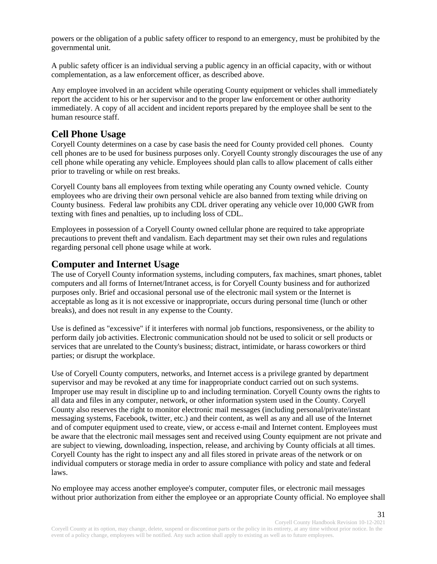powers or the obligation of a public safety officer to respond to an emergency, must be prohibited by the governmental unit.

A public safety officer is an individual serving a public agency in an official capacity, with or without complementation, as a law enforcement officer, as described above.

Any employee involved in an accident while operating County equipment or vehicles shall immediately report the accident to his or her supervisor and to the proper law enforcement or other authority immediately. A copy of all accident and incident reports prepared by the employee shall be sent to the human resource staff.

### <span id="page-30-0"></span>**Cell Phone Usage**

Coryell County determines on a case by case basis the need for County provided cell phones. County cell phones are to be used for business purposes only. Coryell County strongly discourages the use of any cell phone while operating any vehicle. Employees should plan calls to allow placement of calls either prior to traveling or while on rest breaks.

Coryell County bans all employees from texting while operating any County owned vehicle. County employees who are driving their own personal vehicle are also banned from texting while driving on County business. Federal law prohibits any CDL driver operating any vehicle over 10,000 GWR from texting with fines and penalties, up to including loss of CDL.

Employees in possession of a Coryell County owned cellular phone are required to take appropriate precautions to prevent theft and vandalism. Each department may set their own rules and regulations regarding personal cell phone usage while at work.

#### <span id="page-30-1"></span>**Computer and Internet Usage**

The use of Coryell County information systems, including computers, fax machines, smart phones, tablet computers and all forms of Internet/Intranet access, is for Coryell County business and for authorized purposes only. Brief and occasional personal use of the electronic mail system or the Internet is acceptable as long as it is not excessive or inappropriate, occurs during personal time (lunch or other breaks), and does not result in any expense to the County.

Use is defined as "excessive" if it interferes with normal job functions, responsiveness, or the ability to perform daily job activities. Electronic communication should not be used to solicit or sell products or services that are unrelated to the County's business; distract, intimidate, or harass coworkers or third parties; or disrupt the workplace.

Use of Coryell County computers, networks, and Internet access is a privilege granted by department supervisor and may be revoked at any time for inappropriate conduct carried out on such systems. Improper use may result in discipline up to and including termination. Coryell County owns the rights to all data and files in any computer, network, or other information system used in the County. Coryell County also reserves the right to monitor electronic mail messages (including personal/private/instant messaging systems, Facebook, twitter, etc.) and their content, as well as any and all use of the Internet and of computer equipment used to create, view, or access e-mail and Internet content. Employees must be aware that the electronic mail messages sent and received using County equipment are not private and are subject to viewing, downloading, inspection, release, and archiving by County officials at all times. Coryell County has the right to inspect any and all files stored in private areas of the network or on individual computers or storage media in order to assure compliance with policy and state and federal laws.

No employee may access another employee's computer, computer files, or electronic mail messages without prior authorization from either the employee or an appropriate County official. No employee shall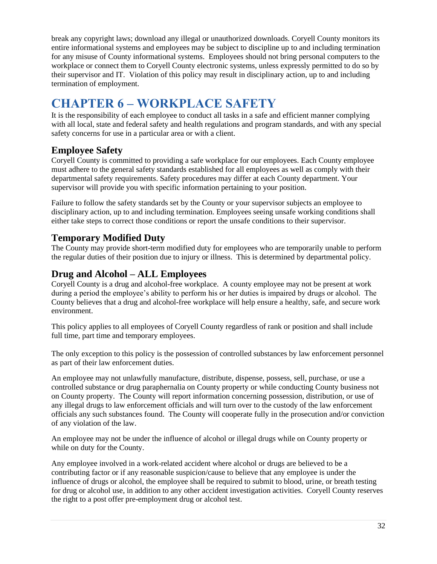break any copyright laws; download any illegal or unauthorized downloads. Coryell County monitors its entire informational systems and employees may be subject to discipline up to and including termination for any misuse of County informational systems. Employees should not bring personal computers to the workplace or connect them to Coryell County electronic systems, unless expressly permitted to do so by their supervisor and IT. Violation of this policy may result in disciplinary action, up to and including termination of employment.

# <span id="page-31-0"></span>**CHAPTER 6 – WORKPLACE SAFETY**

It is the responsibility of each employee to conduct all tasks in a safe and efficient manner complying with all local, state and federal safety and health regulations and program standards, and with any special safety concerns for use in a particular area or with a client.

# <span id="page-31-1"></span>**Employee Safety**

Coryell County is committed to providing a safe workplace for our employees. Each County employee must adhere to the general safety standards established for all employees as well as comply with their departmental safety requirements. Safety procedures may differ at each County department. Your supervisor will provide you with specific information pertaining to your position.

Failure to follow the safety standards set by the County or your supervisor subjects an employee to disciplinary action, up to and including termination. Employees seeing unsafe working conditions shall either take steps to correct those conditions or report the unsafe conditions to their supervisor.

# <span id="page-31-2"></span>**Temporary Modified Duty**

The County may provide short-term modified duty for employees who are temporarily unable to perform the regular duties of their position due to injury or illness. This is determined by departmental policy.

# <span id="page-31-3"></span>**Drug and Alcohol – ALL Employees**

Coryell County is a drug and alcohol-free workplace. A county employee may not be present at work during a period the employee's ability to perform his or her duties is impaired by drugs or alcohol. The County believes that a drug and alcohol-free workplace will help ensure a healthy, safe, and secure work environment.

This policy applies to all employees of Coryell County regardless of rank or position and shall include full time, part time and temporary employees.

The only exception to this policy is the possession of controlled substances by law enforcement personnel as part of their law enforcement duties.

An employee may not unlawfully manufacture, distribute, dispense, possess, sell, purchase, or use a controlled substance or drug paraphernalia on County property or while conducting County business not on County property. The County will report information concerning possession, distribution, or use of any illegal drugs to law enforcement officials and will turn over to the custody of the law enforcement officials any such substances found. The County will cooperate fully in the prosecution and/or conviction of any violation of the law.

An employee may not be under the influence of alcohol or illegal drugs while on County property or while on duty for the County.

Any employee involved in a work-related accident where alcohol or drugs are believed to be a contributing factor or if any reasonable suspicion/cause to believe that any employee is under the influence of drugs or alcohol, the employee shall be required to submit to blood, urine, or breath testing for drug or alcohol use, in addition to any other accident investigation activities. Coryell County reserves the right to a post offer pre-employment drug or alcohol test.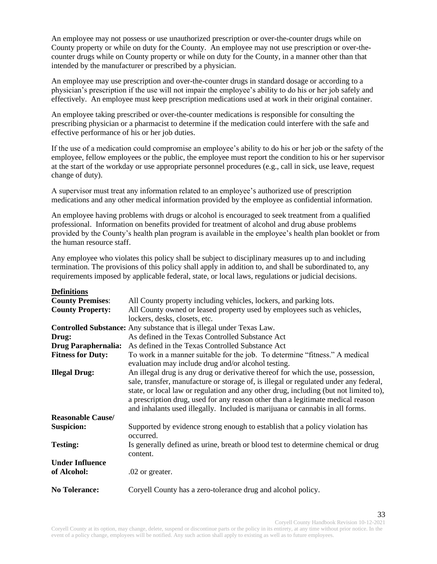An employee may not possess or use unauthorized prescription or over-the-counter drugs while on County property or while on duty for the County. An employee may not use prescription or over-thecounter drugs while on County property or while on duty for the County, in a manner other than that intended by the manufacturer or prescribed by a physician.

An employee may use prescription and over-the-counter drugs in standard dosage or according to a physician's prescription if the use will not impair the employee's ability to do his or her job safely and effectively. An employee must keep prescription medications used at work in their original container.

An employee taking prescribed or over-the-counter medications is responsible for consulting the prescribing physician or a pharmacist to determine if the medication could interfere with the safe and effective performance of his or her job duties.

If the use of a medication could compromise an employee's ability to do his or her job or the safety of the employee, fellow employees or the public, the employee must report the condition to his or her supervisor at the start of the workday or use appropriate personnel procedures (e.g., call in sick, use leave, request change of duty).

A supervisor must treat any information related to an employee's authorized use of prescription medications and any other medical information provided by the employee as confidential information.

An employee having problems with drugs or alcohol is encouraged to seek treatment from a qualified professional. Information on benefits provided for treatment of alcohol and drug abuse problems provided by the County's health plan program is available in the employee's health plan booklet or from the human resource staff.

Any employee who violates this policy shall be subject to disciplinary measures up to and including termination. The provisions of this policy shall apply in addition to, and shall be subordinated to, any requirements imposed by applicable federal, state, or local laws, regulations or judicial decisions.

#### **Definitions**

| <b>County Premises:</b>    | All County property including vehicles, lockers, and parking lots.                        |
|----------------------------|-------------------------------------------------------------------------------------------|
| <b>County Property:</b>    | All County owned or leased property used by employees such as vehicles,                   |
|                            | lockers, desks, closets, etc.                                                             |
|                            | <b>Controlled Substance:</b> Any substance that is illegal under Texas Law.               |
| Drug:                      | As defined in the Texas Controlled Substance Act                                          |
| <b>Drug Paraphernalia:</b> | As defined in the Texas Controlled Substance Act                                          |
| <b>Fitness for Duty:</b>   | To work in a manner suitable for the job. To determine "fitness." A medical               |
|                            | evaluation may include drug and/or alcohol testing.                                       |
| <b>Illegal Drug:</b>       | An illegal drug is any drug or derivative thereof for which the use, possession,          |
|                            | sale, transfer, manufacture or storage of, is illegal or regulated under any federal,     |
|                            | state, or local law or regulation and any other drug, including (but not limited to),     |
|                            | a prescription drug, used for any reason other than a legitimate medical reason           |
|                            | and inhalants used illegally. Included is marijuana or cannabis in all forms.             |
| <b>Reasonable Cause/</b>   |                                                                                           |
| <b>Suspicion:</b>          | Supported by evidence strong enough to establish that a policy violation has<br>occurred. |
| <b>Testing:</b>            | Is generally defined as urine, breath or blood test to determine chemical or drug         |
|                            | content.                                                                                  |
| <b>Under Influence</b>     |                                                                                           |
| of Alcohol:                | .02 or greater.                                                                           |
| <b>No Tolerance:</b>       | Coryell County has a zero-tolerance drug and alcohol policy.                              |

Coryell County Handbook Revision 10-12-2021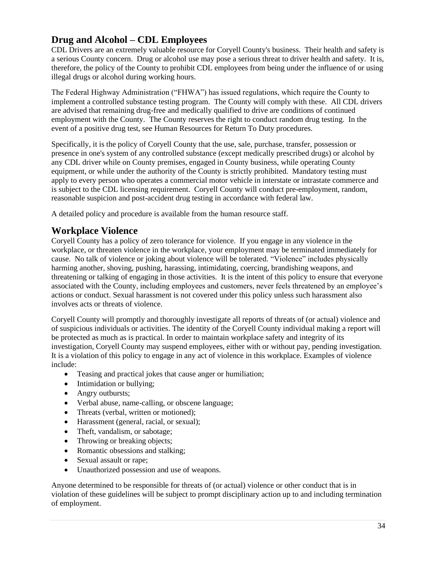# **Drug and Alcohol – CDL Employees**

CDL Drivers are an extremely valuable resource for Coryell County's business. Their health and safety is a serious County concern. Drug or alcohol use may pose a serious threat to driver health and safety. It is, therefore, the policy of the County to prohibit CDL employees from being under the influence of or using illegal drugs or alcohol during working hours.

The Federal Highway Administration ("FHWA") has issued regulations, which require the County to implement a controlled substance testing program. The County will comply with these. All CDL drivers are advised that remaining drug-free and medically qualified to drive are conditions of continued employment with the County. The County reserves the right to conduct random drug testing. In the event of a positive drug test, see Human Resources for Return To Duty procedures.

Specifically, it is the policy of Coryell County that the use, sale, purchase, transfer, possession or presence in one's system of any controlled substance (except medically prescribed drugs) or alcohol by any CDL driver while on County premises, engaged in County business, while operating County equipment, or while under the authority of the County is strictly prohibited. Mandatory testing must apply to every person who operates a commercial motor vehicle in interstate or intrastate commerce and is subject to the CDL licensing requirement. Coryell County will conduct pre-employment, random, reasonable suspicion and post-accident drug testing in accordance with federal law.

A detailed policy and procedure is available from the human resource staff.

# <span id="page-33-0"></span>**Workplace Violence**

Coryell County has a policy of zero tolerance for violence. If you engage in any violence in the workplace, or threaten violence in the workplace, your employment may be terminated immediately for cause. No talk of violence or joking about violence will be tolerated. "Violence" includes physically harming another, shoving, pushing, harassing, intimidating, coercing, brandishing weapons, and threatening or talking of engaging in those activities. It is the intent of this policy to ensure that everyone associated with the County, including employees and customers, never feels threatened by an employee's actions or conduct. Sexual harassment is not covered under this policy unless such harassment also involves acts or threats of violence.

Coryell County will promptly and thoroughly investigate all reports of threats of (or actual) violence and of suspicious individuals or activities. The identity of the Coryell County individual making a report will be protected as much as is practical. In order to maintain workplace safety and integrity of its investigation, Coryell County may suspend employees, either with or without pay, pending investigation. It is a violation of this policy to engage in any act of violence in this workplace. Examples of violence include:

- Teasing and practical jokes that cause anger or humiliation;
- Intimidation or bullying;
- Angry outbursts;
- Verbal abuse, name-calling, or obscene language;
- Threats (verbal, written or motioned);
- Harassment (general, racial, or sexual);
- Theft, vandalism, or sabotage;
- Throwing or breaking objects;
- Romantic obsessions and stalking;
- Sexual assault or rape;
- Unauthorized possession and use of weapons.

Anyone determined to be responsible for threats of (or actual) violence or other conduct that is in violation of these guidelines will be subject to prompt disciplinary action up to and including termination of employment.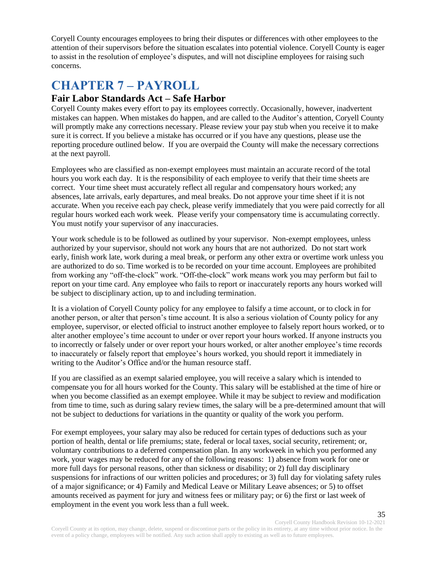Coryell County encourages employees to bring their disputes or differences with other employees to the attention of their supervisors before the situation escalates into potential violence. Coryell County is eager to assist in the resolution of employee's disputes, and will not discipline employees for raising such concerns.

# <span id="page-34-0"></span>**CHAPTER 7 – PAYROLL**

### <span id="page-34-1"></span>**Fair Labor Standards Act – Safe Harbor**

Coryell County makes every effort to pay its employees correctly. Occasionally, however, inadvertent mistakes can happen. When mistakes do happen, and are called to the Auditor's attention, Coryell County will promptly make any corrections necessary. Please review your pay stub when you receive it to make sure it is correct. If you believe a mistake has occurred or if you have any questions, please use the reporting procedure outlined below. If you are overpaid the County will make the necessary corrections at the next payroll.

Employees who are classified as non-exempt employees must maintain an accurate record of the total hours you work each day. It is the responsibility of each employee to verify that their time sheets are correct. Your time sheet must accurately reflect all regular and compensatory hours worked; any absences, late arrivals, early departures, and meal breaks. Do not approve your time sheet if it is not accurate. When you receive each pay check, please verify immediately that you were paid correctly for all regular hours worked each work week. Please verify your compensatory time is accumulating correctly. You must notify your supervisor of any inaccuracies.

Your work schedule is to be followed as outlined by your supervisor. Non-exempt employees, unless authorized by your supervisor, should not work any hours that are not authorized. Do not start work early, finish work late, work during a meal break, or perform any other extra or overtime work unless you are authorized to do so. Time worked is to be recorded on your time account. Employees are prohibited from working any "off-the-clock" work. "Off-the-clock" work means work you may perform but fail to report on your time card. Any employee who fails to report or inaccurately reports any hours worked will be subject to disciplinary action, up to and including termination.

It is a violation of Coryell County policy for any employee to falsify a time account, or to clock in for another person, or alter that person's time account. It is also a serious violation of County policy for any employee, supervisor, or elected official to instruct another employee to falsely report hours worked, or to alter another employee's time account to under or over report your hours worked. If anyone instructs you to incorrectly or falsely under or over report your hours worked, or alter another employee's time records to inaccurately or falsely report that employee's hours worked, you should report it immediately in writing to the Auditor's Office and/or the human resource staff.

If you are classified as an exempt salaried employee, you will receive a salary which is intended to compensate you for all hours worked for the County. This salary will be established at the time of hire or when you become classified as an exempt employee. While it may be subject to review and modification from time to time, such as during salary review times, the salary will be a pre-determined amount that will not be subject to deductions for variations in the quantity or quality of the work you perform.

For exempt employees, your salary may also be reduced for certain types of deductions such as your portion of health, dental or life premiums; state, federal or local taxes, social security, retirement; or, voluntary contributions to a deferred compensation plan. In any workweek in which you performed any work, your wages may be reduced for any of the following reasons: 1) absence from work for one or more full days for personal reasons, other than sickness or disability; or 2) full day disciplinary suspensions for infractions of our written policies and procedures; or 3) full day for violating safety rules of a major significance; or 4) Family and Medical Leave or Military Leave absences; or 5) to offset amounts received as payment for jury and witness fees or military pay; or 6) the first or last week of employment in the event you work less than a full week.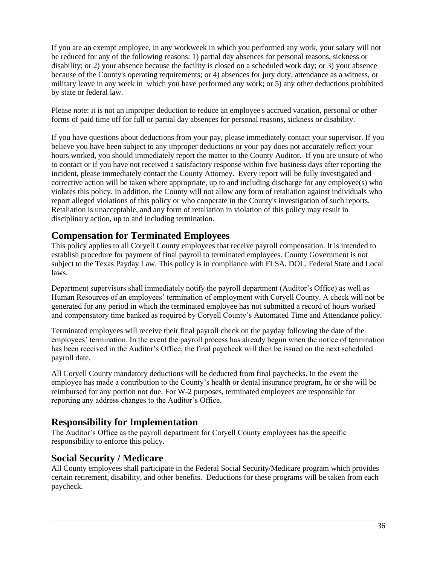If you are an exempt employee, in any workweek in which you performed any work, your salary will not be reduced for any of the following reasons: 1) partial day absences for personal reasons, sickness or disability; or 2) your absence because the facility is closed on a scheduled work day; or 3) your absence because of the County's operating requirements; or 4) absences for jury duty, attendance as a witness, or military leave in any week in which you have performed any work; or 5) any other deductions prohibited by state or federal law.

Please note: it is not an improper deduction to reduce an employee's accrued vacation, personal or other forms of paid time off for full or partial day absences for personal reasons, sickness or disability.

If you have questions about deductions from your pay, please immediately contact your supervisor. If you believe you have been subject to any improper deductions or your pay does not accurately reflect your hours worked, you should immediately report the matter to the County Auditor. If you are unsure of who to contact or if you have not received a satisfactory response within five business days after reporting the incident, please immediately contact the County Attorney. Every report will be fully investigated and corrective action will be taken where appropriate, up to and including discharge for any employee(s) who violates this policy. In addition, the County will not allow any form of retaliation against individuals who report alleged violations of this policy or who cooperate in the County's investigation of such reports. Retaliation is unacceptable, and any form of retaliation in violation of this policy may result in disciplinary action, up to and including termination.

#### <span id="page-35-0"></span>**Compensation for Terminated Employees**

This policy applies to all Coryell County employees that receive payroll compensation. It is intended to establish procedure for payment of final payroll to terminated employees. County Government is not subject to the Texas Payday Law. This policy is in compliance with FLSA, DOL, Federal State and Local laws.

Department supervisors shall immediately notify the payroll department (Auditor's Office) as well as Human Resources of an employees' termination of employment with Coryell County. A check will not be generated for any period in which the terminated employee has not submitted a record of hours worked and compensatory time banked as required by Coryell County's Automated Time and Attendance policy.

Terminated employees will receive their final payroll check on the payday following the date of the employees' termination. In the event the payroll process has already begun when the notice of termination has been received in the Auditor's Office, the final paycheck will then be issued on the next scheduled payroll date.

All Coryell County mandatory deductions will be deducted from final paychecks. In the event the employee has made a contribution to the County's health or dental insurance program, he or she will be reimbursed for any portion not due. For W-2 purposes, terminated employees are responsible for reporting any address changes to the Auditor's Office.

#### **Responsibility for Implementation**

The Auditor's Office as the payroll department for Coryell County employees has the specific responsibility to enforce this policy.

#### <span id="page-35-1"></span>**Social Security / Medicare**

All County employees shall participate in the Federal Social Security/Medicare program which provides certain retirement, disability, and other benefits. Deductions for these programs will be taken from each paycheck.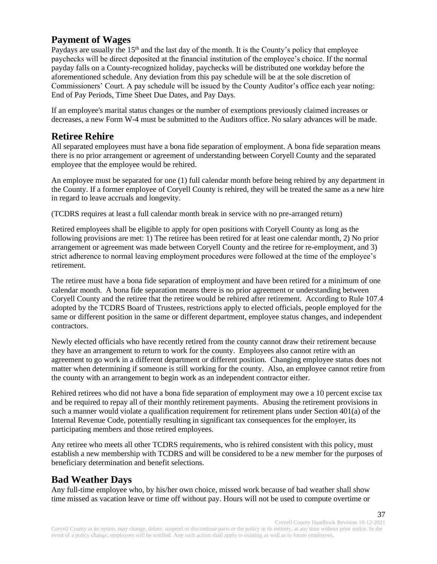# <span id="page-36-0"></span>**Payment of Wages**

Paydays are usually the  $15<sup>th</sup>$  and the last day of the month. It is the County's policy that employee paychecks will be direct deposited at the financial institution of the employee's choice. If the normal payday falls on a County-recognized holiday, paychecks will be distributed one workday before the aforementioned schedule. Any deviation from this pay schedule will be at the sole discretion of Commissioners' Court. A pay schedule will be issued by the County Auditor's office each year noting: End of Pay Periods, Time Sheet Due Dates, and Pay Days.

If an employee's marital status changes or the number of exemptions previously claimed increases or decreases, a new Form W-4 must be submitted to the Auditors office. No salary advances will be made.

# <span id="page-36-1"></span>**Retiree Rehire**

All separated employees must have a bona fide separation of employment. A bona fide separation means there is no prior arrangement or agreement of understanding between Coryell County and the separated employee that the employee would be rehired.

An employee must be separated for one (1) full calendar month before being rehired by any department in the County. If a former employee of Coryell County is rehired, they will be treated the same as a new hire in regard to leave accruals and longevity.

(TCDRS requires at least a full calendar month break in service with no pre-arranged return)

Retired employees shall be eligible to apply for open positions with Coryell County as long as the following provisions are met: 1) The retiree has been retired for at least one calendar month, 2) No prior arrangement or agreement was made between Coryell County and the retiree for re-employment, and 3) strict adherence to normal leaving employment procedures were followed at the time of the employee's retirement.

The retiree must have a bona fide separation of employment and have been retired for a minimum of one calendar month. A bona fide separation means there is no prior agreement or understanding between Coryell County and the retiree that the retiree would be rehired after retirement. According to Rule 107.4 adopted by the TCDRS Board of Trustees, restrictions apply to elected officials, people employed for the same or different position in the same or different department, employee status changes, and independent contractors.

Newly elected officials who have recently retired from the county cannot draw their retirement because they have an arrangement to return to work for the county. Employees also cannot retire with an agreement to go work in a different department or different position. Changing employee status does not matter when determining if someone is still working for the county. Also, an employee cannot retire from the county with an arrangement to begin work as an independent contractor either.

Rehired retirees who did not have a bona fide separation of employment may owe a 10 percent excise tax and be required to repay all of their monthly retirement payments. Abusing the retirement provisions in such a manner would violate a qualification requirement for retirement plans under Section 401(a) of the Internal Revenue Code, potentially resulting in significant tax consequences for the employer, its participating members and those retired employees.

Any retiree who meets all other TCDRS requirements, who is rehired consistent with this policy, must establish a new membership with TCDRS and will be considered to be a new member for the purposes of beneficiary determination and benefit selections.

# <span id="page-36-2"></span>**Bad Weather Days**

Any full-time employee who, by his/her own choice, missed work because of bad weather shall show time missed as vacation leave or time off without pay. Hours will not be used to compute overtime or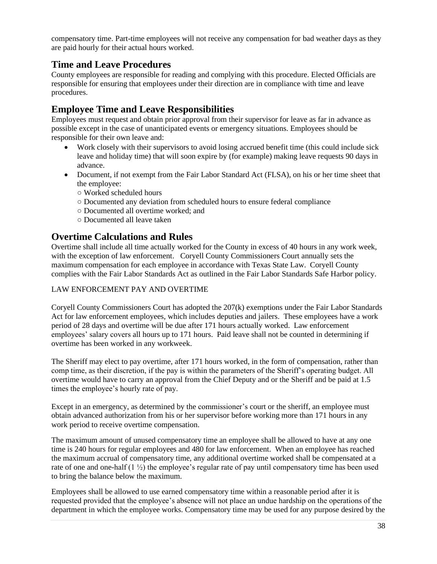compensatory time. Part-time employees will not receive any compensation for bad weather days as they are paid hourly for their actual hours worked.

#### <span id="page-37-0"></span>**Time and Leave Procedures**

County employees are responsible for reading and complying with this procedure. Elected Officials are responsible for ensuring that employees under their direction are in compliance with time and leave procedures.

# <span id="page-37-1"></span>**Employee Time and Leave Responsibilities**

Employees must request and obtain prior approval from their supervisor for leave as far in advance as possible except in the case of unanticipated events or emergency situations. Employees should be responsible for their own leave and:

- Work closely with their supervisors to avoid losing accrued benefit time (this could include sick leave and holiday time) that will soon expire by (for example) making leave requests 90 days in advance.
- Document, if not exempt from the Fair Labor Standard Act (FLSA), on his or her time sheet that the employee:
	- Worked scheduled hours
	- Documented any deviation from scheduled hours to ensure federal compliance
	- Documented all overtime worked; and
	- Documented all leave taken

#### <span id="page-37-2"></span>**Overtime Calculations and Rules**

Overtime shall include all time actually worked for the County in excess of 40 hours in any work week, with the exception of law enforcement. Coryell County Commissioners Court annually sets the maximum compensation for each employee in accordance with Texas State Law. Coryell County complies with the Fair Labor Standards Act as outlined in the Fair Labor Standards Safe Harbor policy.

#### LAW ENFORCEMENT PAY AND OVERTIME

Coryell County Commissioners Court has adopted the 207(k) exemptions under the Fair Labor Standards Act for law enforcement employees, which includes deputies and jailers. These employees have a work period of 28 days and overtime will be due after 171 hours actually worked. Law enforcement employees' salary covers all hours up to 171 hours. Paid leave shall not be counted in determining if overtime has been worked in any workweek.

The Sheriff may elect to pay overtime, after 171 hours worked, in the form of compensation, rather than comp time, as their discretion, if the pay is within the parameters of the Sheriff's operating budget. All overtime would have to carry an approval from the Chief Deputy and or the Sheriff and be paid at 1.5 times the employee's hourly rate of pay.

Except in an emergency, as determined by the commissioner's court or the sheriff, an employee must obtain advanced authorization from his or her supervisor before working more than 171 hours in any work period to receive overtime compensation.

The maximum amount of unused compensatory time an employee shall be allowed to have at any one time is 240 hours for regular employees and 480 for law enforcement. When an employee has reached the maximum accrual of compensatory time, any additional overtime worked shall be compensated at a rate of one and one-half  $(1 \frac{1}{2})$  the employee's regular rate of pay until compensatory time has been used to bring the balance below the maximum.

Employees shall be allowed to use earned compensatory time within a reasonable period after it is requested provided that the employee's absence will not place an undue hardship on the operations of the department in which the employee works. Compensatory time may be used for any purpose desired by the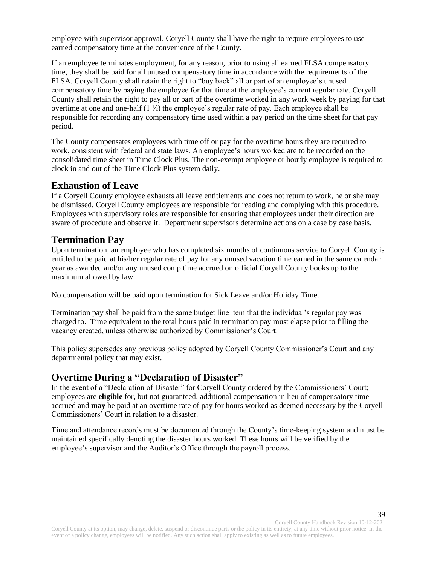employee with supervisor approval. Coryell County shall have the right to require employees to use earned compensatory time at the convenience of the County.

If an employee terminates employment, for any reason, prior to using all earned FLSA compensatory time, they shall be paid for all unused compensatory time in accordance with the requirements of the FLSA. Coryell County shall retain the right to "buy back" all or part of an employee's unused compensatory time by paying the employee for that time at the employee's current regular rate. Coryell County shall retain the right to pay all or part of the overtime worked in any work week by paying for that overtime at one and one-half  $(1 \frac{1}{2})$  the employee's regular rate of pay. Each employee shall be responsible for recording any compensatory time used within a pay period on the time sheet for that pay period.

The County compensates employees with time off or pay for the overtime hours they are required to work, consistent with federal and state laws. An employee's hours worked are to be recorded on the consolidated time sheet in Time Clock Plus. The non-exempt employee or hourly employee is required to clock in and out of the Time Clock Plus system daily.

#### <span id="page-38-0"></span>**Exhaustion of Leave**

If a Coryell County employee exhausts all leave entitlements and does not return to work, he or she may be dismissed. Coryell County employees are responsible for reading and complying with this procedure. Employees with supervisory roles are responsible for ensuring that employees under their direction are aware of procedure and observe it. Department supervisors determine actions on a case by case basis.

#### <span id="page-38-1"></span>**Termination Pay**

Upon termination, an employee who has completed six months of continuous service to Coryell County is entitled to be paid at his/her regular rate of pay for any unused vacation time earned in the same calendar year as awarded and/or any unused comp time accrued on official Coryell County books up to the maximum allowed by law.

No compensation will be paid upon termination for Sick Leave and/or Holiday Time.

Termination pay shall be paid from the same budget line item that the individual's regular pay was charged to. Time equivalent to the total hours paid in termination pay must elapse prior to filling the vacancy created, unless otherwise authorized by Commissioner's Court.

This policy supersedes any previous policy adopted by Coryell County Commissioner's Court and any departmental policy that may exist.

#### <span id="page-38-2"></span>**Overtime During a "Declaration of Disaster"**

In the event of a "Declaration of Disaster" for Coryell County ordered by the Commissioners' Court; employees are **eligible** for, but not guaranteed, additional compensation in lieu of compensatory time accrued and **may** be paid at an overtime rate of pay for hours worked as deemed necessary by the Coryell Commissioners' Court in relation to a disaster.

Time and attendance records must be documented through the County's time-keeping system and must be maintained specifically denoting the disaster hours worked. These hours will be verified by the employee's supervisor and the Auditor's Office through the payroll process.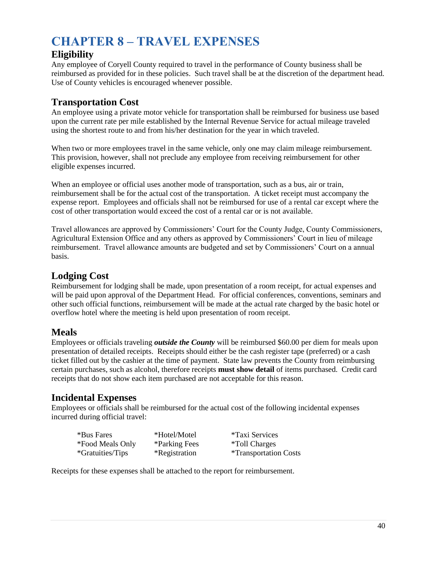# <span id="page-39-0"></span>**CHAPTER 8 – TRAVEL EXPENSES**

# <span id="page-39-1"></span>**Eligibility**

Any employee of Coryell County required to travel in the performance of County business shall be reimbursed as provided for in these policies. Such travel shall be at the discretion of the department head. Use of County vehicles is encouraged whenever possible.

# <span id="page-39-2"></span>**Transportation Cost**

An employee using a private motor vehicle for transportation shall be reimbursed for business use based upon the current rate per mile established by the Internal Revenue Service for actual mileage traveled using the shortest route to and from his/her destination for the year in which traveled.

When two or more employees travel in the same vehicle, only one may claim mileage reimbursement. This provision, however, shall not preclude any employee from receiving reimbursement for other eligible expenses incurred.

When an employee or official uses another mode of transportation, such as a bus, air or train, reimbursement shall be for the actual cost of the transportation. A ticket receipt must accompany the expense report. Employees and officials shall not be reimbursed for use of a rental car except where the cost of other transportation would exceed the cost of a rental car or is not available.

Travel allowances are approved by Commissioners' Court for the County Judge, County Commissioners, Agricultural Extension Office and any others as approved by Commissioners' Court in lieu of mileage reimbursement. Travel allowance amounts are budgeted and set by Commissioners' Court on a annual basis.

# <span id="page-39-3"></span>**Lodging Cost**

Reimbursement for lodging shall be made, upon presentation of a room receipt, for actual expenses and will be paid upon approval of the Department Head. For official conferences, conventions, seminars and other such official functions, reimbursement will be made at the actual rate charged by the basic hotel or overflow hotel where the meeting is held upon presentation of room receipt.

# <span id="page-39-4"></span>**Meals**

Employees or officials traveling *outside the County* will be reimbursed \$60.00 per diem for meals upon presentation of detailed receipts. Receipts should either be the cash register tape (preferred) or a cash ticket filled out by the cashier at the time of payment. State law prevents the County from reimbursing certain purchases, such as alcohol, therefore receipts **must show detail** of items purchased. Credit card receipts that do not show each item purchased are not acceptable for this reason.

# <span id="page-39-5"></span>**Incidental Expenses**

Employees or officials shall be reimbursed for the actual cost of the following incidental expenses incurred during official travel:

| *Bus Fares              | *Hotel/Motel                | <i>*Taxi Services</i>               |
|-------------------------|-----------------------------|-------------------------------------|
| *Food Meals Only        | *Parking Fees               | <i>*Toll Charges</i>                |
| <i>*Gratuities/Tips</i> | <i><b>*Registration</b></i> | <i><b>*Transportation Costs</b></i> |

Receipts for these expenses shall be attached to the report for reimbursement.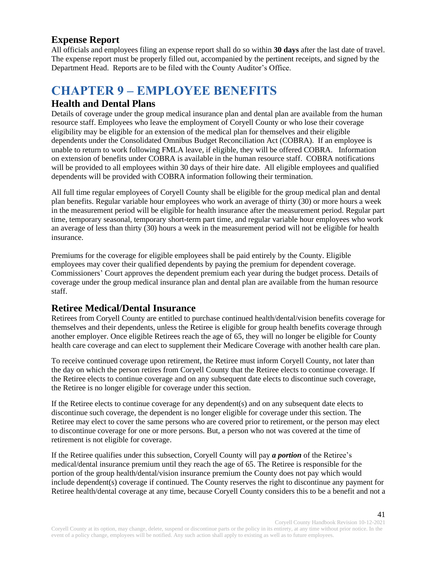### <span id="page-40-0"></span>**Expense Report**

All officials and employees filing an expense report shall do so within **30 days** after the last date of travel. The expense report must be properly filled out, accompanied by the pertinent receipts, and signed by the Department Head. Reports are to be filed with the County Auditor's Office.

# <span id="page-40-1"></span>**CHAPTER 9 – EMPLOYEE BENEFITS**

#### <span id="page-40-2"></span>**Health and Dental Plans**

Details of coverage under the group medical insurance plan and dental plan are available from the human resource staff. Employees who leave the employment of Coryell County or who lose their coverage eligibility may be eligible for an extension of the medical plan for themselves and their eligible dependents under the Consolidated Omnibus Budget Reconciliation Act (COBRA). If an employee is unable to return to work following FMLA leave, if eligible, they will be offered COBRA. Information on extension of benefits under COBRA is available in the human resource staff. COBRA notifications will be provided to all employees within 30 days of their hire date. All eligible employees and qualified dependents will be provided with COBRA information following their termination.

All full time regular employees of Coryell County shall be eligible for the group medical plan and dental plan benefits. Regular variable hour employees who work an average of thirty (30) or more hours a week in the measurement period will be eligible for health insurance after the measurement period. Regular part time, temporary seasonal, temporary short-term part time, and regular variable hour employees who work an average of less than thirty (30) hours a week in the measurement period will not be eligible for health insurance.

Premiums for the coverage for eligible employees shall be paid entirely by the County. Eligible employees may cover their qualified dependents by paying the premium for dependent coverage. Commissioners' Court approves the dependent premium each year during the budget process. Details of coverage under the group medical insurance plan and dental plan are available from the human resource staff.

#### <span id="page-40-3"></span>**Retiree Medical/Dental Insurance**

Retirees from Coryell County are entitled to purchase continued health/dental/vision benefits coverage for themselves and their dependents, unless the Retiree is eligible for group health benefits coverage through another employer. Once eligible Retirees reach the age of 65, they will no longer be eligible for County health care coverage and can elect to supplement their Medicare Coverage with another health care plan.

To receive continued coverage upon retirement, the Retiree must inform Coryell County, not later than the day on which the person retires from Coryell County that the Retiree elects to continue coverage. If the Retiree elects to continue coverage and on any subsequent date elects to discontinue such coverage, the Retiree is no longer eligible for coverage under this section.

If the Retiree elects to continue coverage for any dependent(s) and on any subsequent date elects to discontinue such coverage, the dependent is no longer eligible for coverage under this section. The Retiree may elect to cover the same persons who are covered prior to retirement, or the person may elect to discontinue coverage for one or more persons. But, a person who not was covered at the time of retirement is not eligible for coverage.

If the Retiree qualifies under this subsection, Coryell County will pay *a portion* of the Retiree's medical/dental insurance premium until they reach the age of 65. The Retiree is responsible for the portion of the group health/dental/vision insurance premium the County does not pay which would include dependent(s) coverage if continued. The County reserves the right to discontinue any payment for Retiree health/dental coverage at any time, because Coryell County considers this to be a benefit and not a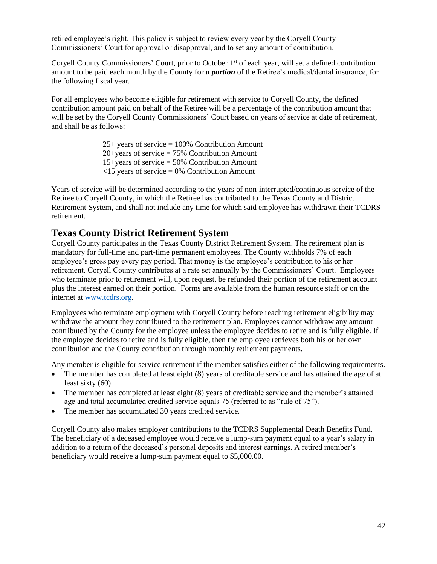retired employee's right. This policy is subject to review every year by the Coryell County Commissioners' Court for approval or disapproval, and to set any amount of contribution.

Coryell County Commissioners' Court, prior to October 1<sup>st</sup> of each year, will set a defined contribution amount to be paid each month by the County for *a portion* of the Retiree's medical/dental insurance, for the following fiscal year.

For all employees who become eligible for retirement with service to Coryell County, the defined contribution amount paid on behalf of the Retiree will be a percentage of the contribution amount that will be set by the Coryell County Commissioners' Court based on years of service at date of retirement, and shall be as follows:

> $25+$  years of service = 100% Contribution Amount  $20 + \text{years}$  of service = 75% Contribution Amount  $15 + \text{years}$  of service = 50% Contribution Amount  $\langle 15 \rangle$  years of service = 0% Contribution Amount

Years of service will be determined according to the years of non-interrupted/continuous service of the Retiree to Coryell County, in which the Retiree has contributed to the Texas County and District Retirement System, and shall not include any time for which said employee has withdrawn their TCDRS retirement.

#### <span id="page-41-0"></span>**Texas County District Retirement System**

Coryell County participates in the Texas County District Retirement System. The retirement plan is mandatory for full-time and part-time permanent employees. The County withholds 7% of each employee's gross pay every pay period. That money is the employee's contribution to his or her retirement. Coryell County contributes at a rate set annually by the Commissioners' Court. Employees who terminate prior to retirement will, upon request, be refunded their portion of the retirement account plus the interest earned on their portion. Forms are available from the human resource staff or on the internet at [www.tcdrs.org.](http://www.tcdrs.org/)

Employees who terminate employment with Coryell County before reaching retirement eligibility may withdraw the amount they contributed to the retirement plan. Employees cannot withdraw any amount contributed by the County for the employee unless the employee decides to retire and is fully eligible. If the employee decides to retire and is fully eligible, then the employee retrieves both his or her own contribution and the County contribution through monthly retirement payments.

Any member is eligible for service retirement if the member satisfies either of the following requirements.

- The member has completed at least eight (8) years of creditable service and has attained the age of at least sixty (60).
- The member has completed at least eight (8) years of creditable service and the member's attained age and total accumulated credited service equals 75 (referred to as "rule of 75").
- The member has accumulated 30 years credited service.

Coryell County also makes employer contributions to the TCDRS Supplemental Death Benefits Fund. The beneficiary of a deceased employee would receive a lump-sum payment equal to a year's salary in addition to a return of the deceased's personal deposits and interest earnings. A retired member's beneficiary would receive a lump-sum payment equal to \$5,000.00.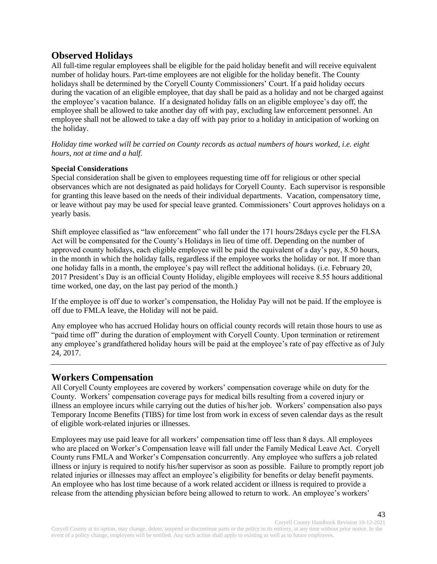# <span id="page-42-0"></span>**Observed Holidays**

All full-time regular employees shall be eligible for the paid holiday benefit and will receive equivalent number of holiday hours. Part-time employees are not eligible for the holiday benefit. The County holidays shall be determined by the Coryell County Commissioners' Court. If a paid holiday occurs during the vacation of an eligible employee, that day shall be paid as a holiday and not be charged against the employee's vacation balance. If a designated holiday falls on an eligible employee's day off, the employee shall be allowed to take another day off with pay, excluding law enforcement personnel. An employee shall not be allowed to take a day off with pay prior to a holiday in anticipation of working on the holiday.

*Holiday time worked will be carried on County records as actual numbers of hours worked, i.e. eight hours, not at time and a half.* 

#### **Special Considerations**

Special consideration shall be given to employees requesting time off for religious or other special observances which are not designated as paid holidays for Coryell County. Each supervisor is responsible for granting this leave based on the needs of their individual departments. Vacation, compensatory time, or leave without pay may be used for special leave granted. Commissioners' Court approves holidays on a yearly basis.

Shift employee classified as "law enforcement" who fall under the 171 hours/28days cycle per the FLSA Act will be compensated for the County's Holidays in lieu of time off. Depending on the number of approved county holidays, each eligible employee will be paid the equivalent of a day's pay, 8.50 hours, in the month in which the holiday falls, regardless if the employee works the holiday or not. If more than one holiday falls in a month, the employee's pay will reflect the additional holidays. (i.e. February 20, 2017 President's Day is an official County Holiday, eligible employees will receive 8.55 hours additional time worked, one day, on the last pay period of the month.)

If the employee is off due to worker's compensation, the Holiday Pay will not be paid. If the employee is off due to FMLA leave, the Holiday will not be paid.

Any employee who has accrued Holiday hours on official county records will retain those hours to use as "paid time off" during the duration of employment with Coryell County. Upon termination or retirement any employee's grandfathered holiday hours will be paid at the employee's rate of pay effective as of July 24, 2017.

#### <span id="page-42-1"></span>**Workers Compensation**

All Coryell County employees are covered by workers' compensation coverage while on duty for the County. Workers' compensation coverage pays for medical bills resulting from a covered injury or illness an employee incurs while carrying out the duties of his/her job. Workers' compensation also pays Temporary Income Benefits (TIBS) for time lost from work in excess of seven calendar days as the result of eligible work-related injuries or illnesses.

Employees may use paid leave for all workers' compensation time off less than 8 days. All employees who are placed on Worker's Compensation leave will fall under the Family Medical Leave Act. Coryell County runs FMLA and Worker's Compensation concurrently. Any employee who suffers a job related illness or injury is required to notify his/her supervisor as soon as possible. Failure to promptly report job related injuries or illnesses may affect an employee's eligibility for benefits or delay benefit payments. An employee who has lost time because of a work related accident or illness is required to provide a release from the attending physician before being allowed to return to work. An employee's workers'

Coryell County Handbook Revision 10-12-2021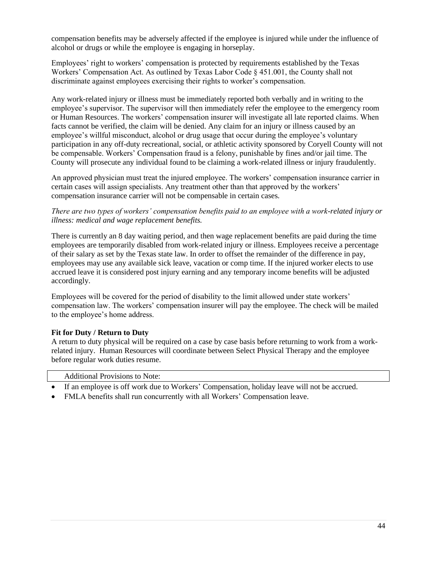compensation benefits may be adversely affected if the employee is injured while under the influence of alcohol or drugs or while the employee is engaging in horseplay.

Employees' right to workers' compensation is protected by requirements established by the Texas Workers' Compensation Act. As outlined by Texas Labor Code § 451.001, the County shall not discriminate against employees exercising their rights to worker's compensation.

Any work-related injury or illness must be immediately reported both verbally and in writing to the employee's supervisor. The supervisor will then immediately refer the employee to the emergency room or Human Resources. The workers' compensation insurer will investigate all late reported claims. When facts cannot be verified, the claim will be denied. Any claim for an injury or illness caused by an employee's willful misconduct, alcohol or drug usage that occur during the employee's voluntary participation in any off-duty recreational, social, or athletic activity sponsored by Coryell County will not be compensable. Workers' Compensation fraud is a felony, punishable by fines and/or jail time. The County will prosecute any individual found to be claiming a work-related illness or injury fraudulently.

An approved physician must treat the injured employee. The workers' compensation insurance carrier in certain cases will assign specialists. Any treatment other than that approved by the workers' compensation insurance carrier will not be compensable in certain cases.

#### *There are two types of workers' compensation benefits paid to an employee with a work-related injury or illness: medical and wage replacement benefits.*

There is currently an 8 day waiting period, and then wage replacement benefits are paid during the time employees are temporarily disabled from work-related injury or illness. Employees receive a percentage of their salary as set by the Texas state law. In order to offset the remainder of the difference in pay, employees may use any available sick leave, vacation or comp time. If the injured worker elects to use accrued leave it is considered post injury earning and any temporary income benefits will be adjusted accordingly.

Employees will be covered for the period of disability to the limit allowed under state workers' compensation law. The workers' compensation insurer will pay the employee. The check will be mailed to the employee's home address.

#### **Fit for Duty / Return to Duty**

A return to duty physical will be required on a case by case basis before returning to work from a workrelated injury. Human Resources will coordinate between Select Physical Therapy and the employee before regular work duties resume.

| before regular work duties resume.    |  |
|---------------------------------------|--|
| <b>Additional Provisions to Note:</b> |  |

- If an employee is off work due to Workers' Compensation, holiday leave will not be accrued.
- FMLA benefits shall run concurrently with all Workers' Compensation leave.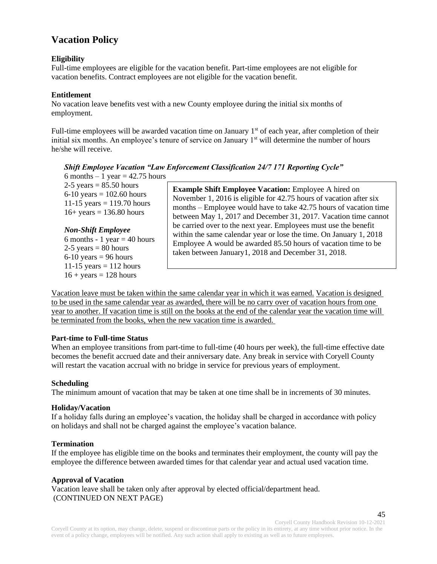# <span id="page-44-0"></span>**Vacation Policy**

#### **Eligibility**

Full-time employees are eligible for the vacation benefit. Part-time employees are not eligible for vacation benefits. Contract employees are not eligible for the vacation benefit.

#### **Entitlement**

No vacation leave benefits vest with a new County employee during the initial six months of employment.

Full-time employees will be awarded vacation time on January 1<sup>st</sup> of each year, after completion of their initial six months. An employee's tenure of service on January 1<sup>st</sup> will determine the number of hours he/she will receive.

#### *Shift Employee Vacation "Law Enforcement Classification 24/7 171 Reporting Cycle"*

6 months  $-1$  year  $=$  42.75 hours  $2-5$  years = 85.50 hours 6-10 years =  $102.60$  hours 11-15 years =  $119.70$  hours  $16 + \text{years} = 136.80 \text{ hours}$ 

*Non-Shift Employee*  6 months - 1 year  $=$  40 hours  $2-5$  years = 80 hours  $6-10$  years = 96 hours 11-15 years  $= 112$  hours  $16 + \text{years} = 128 \text{ hours}$ 

**Example Shift Employee Vacation:** Employee A hired on November 1, 2016 is eligible for 42.75 hours of vacation after six months – Employee would have to take 42.75 hours of vacation time between May 1, 2017 and December 31, 2017. Vacation time cannot be carried over to the next year. Employees must use the benefit within the same calendar year or lose the time. On January 1, 2018 Employee A would be awarded 85.50 hours of vacation time to be taken between January1, 2018 and December 31, 2018.

Vacation leave must be taken within the same calendar year in which it was earned. Vacation is designed to be used in the same calendar year as awarded, there will be no carry over of vacation hours from one year to another. If vacation time is still on the books at the end of the calendar year the vacation time will be terminated from the books, when the new vacation time is awarded.

#### **Part-time to Full-time Status**

When an employee transitions from part-time to full-time (40 hours per week), the full-time effective date becomes the benefit accrued date and their anniversary date. Any break in service with Coryell County will restart the vacation accrual with no bridge in service for previous years of employment.

#### **Scheduling**

The minimum amount of vacation that may be taken at one time shall be in increments of 30 minutes.

#### **Holiday/Vacation**

If a holiday falls during an employee's vacation, the holiday shall be charged in accordance with policy on holidays and shall not be charged against the employee's vacation balance.

#### **Termination**

If the employee has eligible time on the books and terminates their employment, the county will pay the employee the difference between awarded times for that calendar year and actual used vacation time.

#### **Approval of Vacation**

Vacation leave shall be taken only after approval by elected official/department head. (CONTINUED ON NEXT PAGE)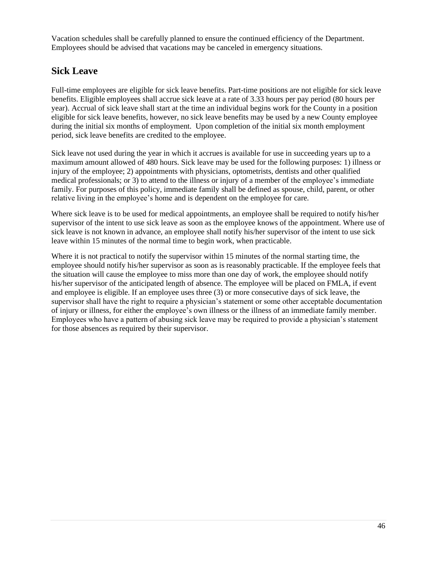Vacation schedules shall be carefully planned to ensure the continued efficiency of the Department. Employees should be advised that vacations may be canceled in emergency situations.

# <span id="page-45-0"></span>**Sick Leave**

Full-time employees are eligible for sick leave benefits. Part-time positions are not eligible for sick leave benefits. Eligible employees shall accrue sick leave at a rate of 3.33 hours per pay period (80 hours per year). Accrual of sick leave shall start at the time an individual begins work for the County in a position eligible for sick leave benefits, however, no sick leave benefits may be used by a new County employee during the initial six months of employment. Upon completion of the initial six month employment period, sick leave benefits are credited to the employee.

Sick leave not used during the year in which it accrues is available for use in succeeding years up to a maximum amount allowed of 480 hours. Sick leave may be used for the following purposes: 1) illness or injury of the employee; 2) appointments with physicians, optometrists, dentists and other qualified medical professionals; or 3) to attend to the illness or injury of a member of the employee's immediate family. For purposes of this policy, immediate family shall be defined as spouse, child, parent, or other relative living in the employee's home and is dependent on the employee for care.

Where sick leave is to be used for medical appointments, an employee shall be required to notify his/her supervisor of the intent to use sick leave as soon as the employee knows of the appointment. Where use of sick leave is not known in advance, an employee shall notify his/her supervisor of the intent to use sick leave within 15 minutes of the normal time to begin work, when practicable.

Where it is not practical to notify the supervisor within 15 minutes of the normal starting time, the employee should notify his/her supervisor as soon as is reasonably practicable. If the employee feels that the situation will cause the employee to miss more than one day of work, the employee should notify his/her supervisor of the anticipated length of absence. The employee will be placed on FMLA, if event and employee is eligible. If an employee uses three (3) or more consecutive days of sick leave, the supervisor shall have the right to require a physician's statement or some other acceptable documentation of injury or illness, for either the employee's own illness or the illness of an immediate family member. Employees who have a pattern of abusing sick leave may be required to provide a physician's statement for those absences as required by their supervisor.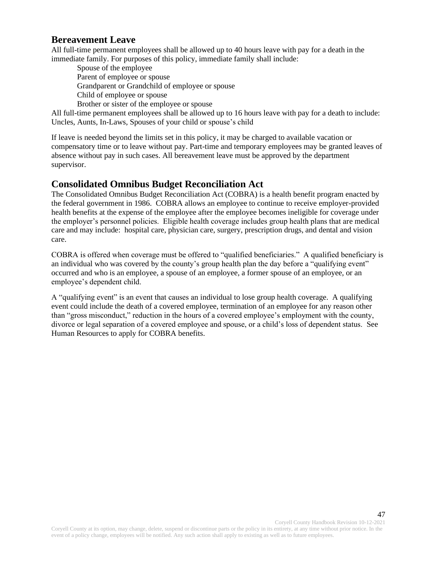#### <span id="page-46-0"></span>**Bereavement Leave**

All full-time permanent employees shall be allowed up to 40 hours leave with pay for a death in the immediate family. For purposes of this policy, immediate family shall include:

Spouse of the employee Parent of employee or spouse Grandparent or Grandchild of employee or spouse Child of employee or spouse Brother or sister of the employee or spouse

All full-time permanent employees shall be allowed up to 16 hours leave with pay for a death to include: Uncles, Aunts, In-Laws, Spouses of your child or spouse's child

If leave is needed beyond the limits set in this policy, it may be charged to available vacation or compensatory time or to leave without pay. Part-time and temporary employees may be granted leaves of absence without pay in such cases. All bereavement leave must be approved by the department supervisor.

### <span id="page-46-1"></span>**Consolidated Omnibus Budget Reconciliation Act**

The Consolidated Omnibus Budget Reconciliation Act (COBRA) is a health benefit program enacted by the federal government in 1986. COBRA allows an employee to continue to receive employer-provided health benefits at the expense of the employee after the employee becomes ineligible for coverage under the employer's personnel policies. Eligible health coverage includes group health plans that are medical care and may include: hospital care, physician care, surgery, prescription drugs, and dental and vision care.

COBRA is offered when coverage must be offered to "qualified beneficiaries." A qualified beneficiary is an individual who was covered by the county's group health plan the day before a "qualifying event" occurred and who is an employee, a spouse of an employee, a former spouse of an employee, or an employee's dependent child.

A "qualifying event" is an event that causes an individual to lose group health coverage. A qualifying event could include the death of a covered employee, termination of an employee for any reason other than "gross misconduct," reduction in the hours of a covered employee's employment with the county, divorce or legal separation of a covered employee and spouse, or a child's loss of dependent status. See Human Resources to apply for COBRA benefits.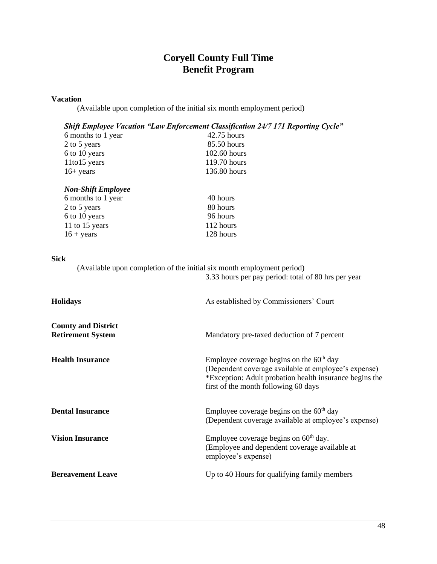# **Coryell County Full Time Benefit Program**

#### **Vacation**

(Available upon completion of the initial six month employment period)

#### *Shift Employee Vacation "Law Enforcement Classification 24/7 171 Reporting Cycle"*

| $42.75$ hours  |
|----------------|
| 85.50 hours    |
| $102.60$ hours |
| 119.70 hours   |
| 136.80 hours   |
|                |

| 40 hours  |
|-----------|
| 80 hours  |
| 96 hours  |
| 112 hours |
| 128 hours |
|           |

#### **Sick**

| (Available upon completion of the initial six month employment period) |                                                     |
|------------------------------------------------------------------------|-----------------------------------------------------|
|                                                                        | 3.33 hours per pay period: total of 80 hrs per year |
|                                                                        |                                                     |
| <b>Holidays</b>                                                        | As established by Commissioners' Court              |

| <b>County and District</b><br><b>Retirement System</b> | Mandatory pre-taxed deduction of 7 percent                                                                                                                                                            |
|--------------------------------------------------------|-------------------------------------------------------------------------------------------------------------------------------------------------------------------------------------------------------|
| <b>Health Insurance</b>                                | Employee coverage begins on the $60th$ day<br>(Dependent coverage available at employee's expense)<br>*Exception: Adult probation health insurance begins the<br>first of the month following 60 days |
| <b>Dental Insurance</b>                                | Employee coverage begins on the $60th$ day<br>(Dependent coverage available at employee's expense)                                                                                                    |
| <b>Vision Insurance</b>                                | Employee coverage begins on $60th$ day.<br>(Employee and dependent coverage available at<br>employee's expense)                                                                                       |
| <b>Bereavement Leave</b>                               | Up to 40 Hours for qualifying family members                                                                                                                                                          |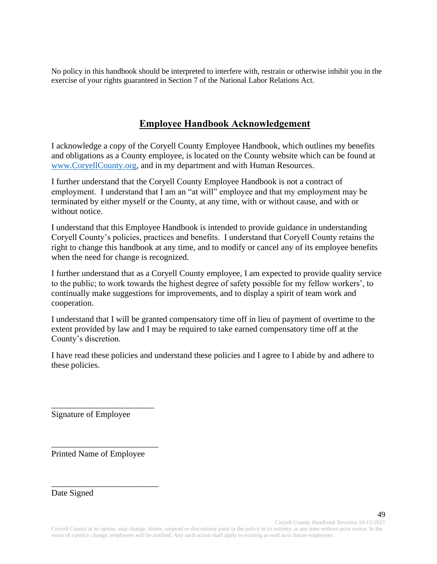No policy in this handbook should be interpreted to interfere with, restrain or otherwise inhibit you in the exercise of your rights guaranteed in Section 7 of the National Labor Relations Act.

### **Employee Handbook Acknowledgement**

I acknowledge a copy of the Coryell County Employee Handbook, which outlines my benefits and obligations as a County employee, is located on the County website which can be found at [www.CoryellCounty.org,](http://www.coryellcounty.org/) and in my department and with Human Resources.

I further understand that the Coryell County Employee Handbook is not a contract of employment. I understand that I am an "at will" employee and that my employment may be terminated by either myself or the County, at any time, with or without cause, and with or without notice.

I understand that this Employee Handbook is intended to provide guidance in understanding Coryell County's policies, practices and benefits. I understand that Coryell County retains the right to change this handbook at any time, and to modify or cancel any of its employee benefits when the need for change is recognized.

I further understand that as a Coryell County employee, I am expected to provide quality service to the public; to work towards the highest degree of safety possible for my fellow workers', to continually make suggestions for improvements, and to display a spirit of team work and cooperation.

I understand that I will be granted compensatory time off in lieu of payment of overtime to the extent provided by law and I may be required to take earned compensatory time off at the County's discretion.

I have read these policies and understand these policies and I agree to I abide by and adhere to these policies.

Signature of Employee

\_\_\_\_\_\_\_\_\_\_\_\_\_\_\_\_\_\_\_\_\_\_\_\_

Printed Name of Employee

\_\_\_\_\_\_\_\_\_\_\_\_\_\_\_\_\_\_\_\_\_\_\_\_\_

\_\_\_\_\_\_\_\_\_\_\_\_\_\_\_\_\_\_\_\_\_\_\_\_\_

Date Signed